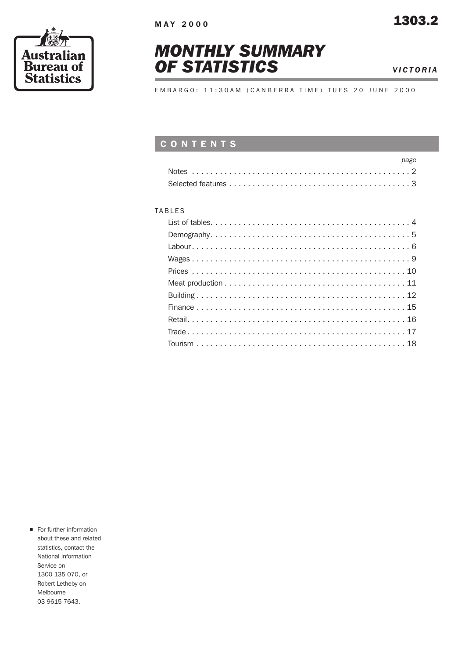





EMBARGO: 11:30AM (CANBERRA TIME) TUES 20 JUNE 2000

## CONTENTS

| page |
|------|
|      |
|      |

#### TABLES

**n** For further information about these and related statistics, contact the National Information Service on 1300 135 070, or Robert Letheby on Melbourne 03 9615 7643.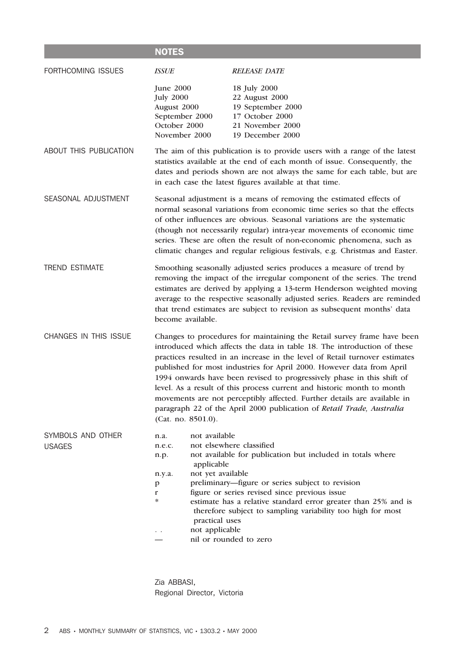|                                    | <b>NOTES</b>                                                                                                                                                                                                                                                                                                                                                                                          |                                                                                                                                                                                                                                                                                                                                                                                                                                                                                                                                                                                                                      |  |  |  |  |  |  |
|------------------------------------|-------------------------------------------------------------------------------------------------------------------------------------------------------------------------------------------------------------------------------------------------------------------------------------------------------------------------------------------------------------------------------------------------------|----------------------------------------------------------------------------------------------------------------------------------------------------------------------------------------------------------------------------------------------------------------------------------------------------------------------------------------------------------------------------------------------------------------------------------------------------------------------------------------------------------------------------------------------------------------------------------------------------------------------|--|--|--|--|--|--|
| FORTHCOMING ISSUES                 | <b>ISSUE</b>                                                                                                                                                                                                                                                                                                                                                                                          | <b>RELEASE DATE</b>                                                                                                                                                                                                                                                                                                                                                                                                                                                                                                                                                                                                  |  |  |  |  |  |  |
|                                    | <b>June 2000</b><br><b>July 2000</b><br>August 2000<br>September 2000<br>October 2000<br>November 2000                                                                                                                                                                                                                                                                                                | 18 July 2000<br>22 August 2000<br>19 September 2000<br>17 October 2000<br>21 November 2000<br>19 December 2000                                                                                                                                                                                                                                                                                                                                                                                                                                                                                                       |  |  |  |  |  |  |
| ABOUT THIS PUBLICATION             |                                                                                                                                                                                                                                                                                                                                                                                                       | The aim of this publication is to provide users with a range of the latest<br>statistics available at the end of each month of issue. Consequently, the<br>dates and periods shown are not always the same for each table, but are<br>in each case the latest figures available at that time.                                                                                                                                                                                                                                                                                                                        |  |  |  |  |  |  |
| SEASONAL ADJUSTMENT                |                                                                                                                                                                                                                                                                                                                                                                                                       | Seasonal adjustment is a means of removing the estimated effects of<br>normal seasonal variations from economic time series so that the effects<br>of other influences are obvious. Seasonal variations are the systematic<br>(though not necessarily regular) intra-year movements of economic time<br>series. These are often the result of non-economic phenomena, such as<br>climatic changes and regular religious festivals, e.g. Christmas and Easter.                                                                                                                                                        |  |  |  |  |  |  |
| <b>TREND ESTIMATE</b>              | Smoothing seasonally adjusted series produces a measure of trend by<br>removing the impact of the irregular component of the series. The trend<br>estimates are derived by applying a 13-term Henderson weighted moving<br>average to the respective seasonally adjusted series. Readers are reminded<br>that trend estimates are subject to revision as subsequent months' data<br>become available. |                                                                                                                                                                                                                                                                                                                                                                                                                                                                                                                                                                                                                      |  |  |  |  |  |  |
| CHANGES IN THIS ISSUE              | (Cat. no. 8501.0).                                                                                                                                                                                                                                                                                                                                                                                    | Changes to procedures for maintaining the Retail survey frame have been<br>introduced which affects the data in table 18. The introduction of these<br>practices resulted in an increase in the level of Retail turnover estimates<br>published for most industries for April 2000. However data from April<br>1994 onwards have been revised to progressively phase in this shift of<br>level. As a result of this process current and historic month to month<br>movements are not perceptibly affected. Further details are available in<br>paragraph 22 of the April 2000 publication of Retail Trade, Australia |  |  |  |  |  |  |
| SYMBOLS AND OTHER<br><b>USAGES</b> | not available<br>n.a.<br>n.e.c.<br>n.p.<br>applicable<br>not yet available<br>n.y.a.<br>p<br>$\mathbf r$<br>$\ast$<br>practical uses<br>not applicable                                                                                                                                                                                                                                                | not elsewhere classified<br>not available for publication but included in totals where<br>preliminary—figure or series subject to revision<br>figure or series revised since previous issue<br>estimate has a relative standard error greater than 25% and is<br>therefore subject to sampling variability too high for most<br>nil or rounded to zero                                                                                                                                                                                                                                                               |  |  |  |  |  |  |

Zia ABBASI, Regional Director, Victoria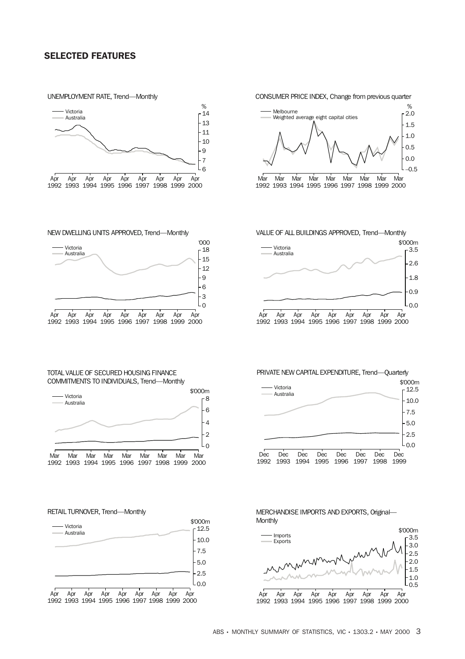### SELECTED FEATURES

UNEMPLOYMENT RATE, Trend—Monthly



NEW DWELLING UNITS APPROVED, Trend—Monthly



TOTAL VALUE OF SECURED HOUSING FINANCE COMMITMENTS TO INDIVIDUALS, Trend—Monthly













PRIVATE NEW CAPITAL EXPENDITURE, Trend—Quarterly





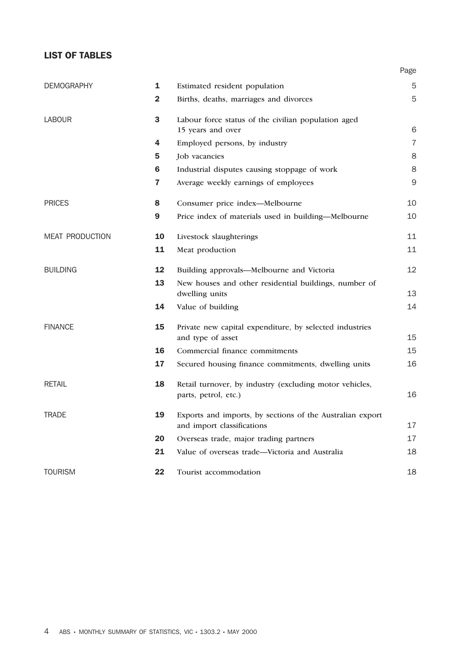## LIST OF TABLES

| <b>DEMOGRAPHY</b>      | 1              | Estimated resident population                                                           | 5              |
|------------------------|----------------|-----------------------------------------------------------------------------------------|----------------|
|                        | $\overline{2}$ | Births, deaths, marriages and divorces                                                  | 5              |
| <b>LABOUR</b>          | 3              | Labour force status of the civilian population aged                                     |                |
|                        |                | 15 years and over                                                                       | 6              |
|                        | 4              | Employed persons, by industry                                                           | $\overline{7}$ |
|                        | 5              | Job vacancies                                                                           | 8              |
|                        | 6              | Industrial disputes causing stoppage of work                                            | 8              |
|                        | 7              | Average weekly earnings of employees                                                    | $\mathsf{9}$   |
| <b>PRICES</b>          | 8              | Consumer price index-Melbourne                                                          | 10             |
|                        | 9              | Price index of materials used in building—Melbourne                                     | 10             |
| <b>MEAT PRODUCTION</b> | 10             | Livestock slaughterings                                                                 | 11             |
|                        | 11             | Meat production                                                                         | 11             |
| <b>BUILDING</b>        | 12             | Building approvals-Melbourne and Victoria                                               | 12             |
|                        | 13             | New houses and other residential buildings, number of<br>dwelling units                 | 13             |
|                        | 14             | Value of building                                                                       | 14             |
| <b>FINANCE</b>         | 15             | Private new capital expenditure, by selected industries                                 |                |
|                        |                | and type of asset                                                                       | 15             |
|                        | 16             | Commercial finance commitments                                                          | 15             |
|                        | 17             | Secured housing finance commitments, dwelling units                                     | 16             |
| <b>RETAIL</b>          | 18             | Retail turnover, by industry (excluding motor vehicles,<br>parts, petrol, etc.)         | 16             |
| <b>TRADE</b>           | 19             | Exports and imports, by sections of the Australian export<br>and import classifications | 17             |

20 Overseas trade, major trading partners 17 21 Value of overseas trade—Victoria and Australia 18

TOURISM 22 Tourist accommodation 18

Page

4 ABS • MONTHLY SUMMARY OF STATISTICS, VIC • 1303.2 • MAY 2000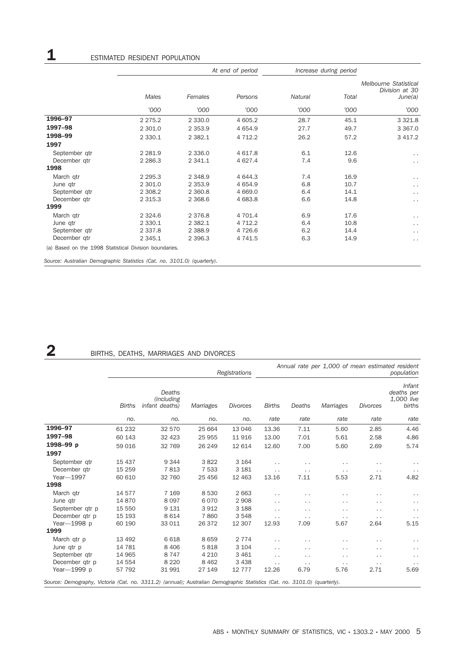|                                                        |             |             | At end of period | Increase during period |       |                                         |  |
|--------------------------------------------------------|-------------|-------------|------------------|------------------------|-------|-----------------------------------------|--|
|                                                        |             |             |                  |                        |       | Melbourne Statistical<br>Division at 30 |  |
|                                                        | Males       | Females     | Persons          | Natural                | Total | June(a)                                 |  |
|                                                        | '000        | '000        | '000             | '000                   | '000  | '000                                    |  |
| 1996-97                                                | 2 2 7 5 . 2 | 2 3 3 0 . 0 | 4 605.2          | 28.7                   | 45.1  | 3 3 2 1.8                               |  |
| 1997-98                                                | 2 301.0     | 2 3 5 3 . 9 | 4 6 5 4.9        | 27.7                   | 49.7  | 3 3 6 7 .0                              |  |
| 1998-99                                                | 2 3 3 0.1   | 2 3 8 2.1   | 4 7 1 2.2        | 26.2                   | 57.2  | 3 4 1 7 . 2                             |  |
| 1997                                                   |             |             |                  |                        |       |                                         |  |
| September gtr                                          | 2 2 8 1.9   | 2 3 3 6 . 0 | 4 617.8          | 6.1                    | 12.6  | $\ddot{\phantom{0}}$                    |  |
| December qtr                                           | 2 2 8 6.3   | 2 341.1     | 4 627.4          | 7.4                    | 9.6   | $\ddot{\phantom{0}}$                    |  |
| 1998                                                   |             |             |                  |                        |       |                                         |  |
| March qtr                                              | 2 2 9 5 . 3 | 2 3 4 8.9   | 4 644.3          | 7.4                    | 16.9  | $\ddot{\phantom{0}}$                    |  |
| June qtr                                               | 2 301.0     | 2 3 5 3 . 9 | 4 6 5 4.9        | 6.8                    | 10.7  | $\ddot{\phantom{0}}$                    |  |
| September gtr                                          | 2 3 0 8.2   | 2 3 6 0.8   | 4 6 6 9.0        | 6.4                    | 14.1  | $\cdot$ .                               |  |
| December gtr                                           | 2 3 1 5 . 3 | 2 3 68.6    | 4 683.8          | 6.6                    | 14.8  | $\ddot{\phantom{0}}$                    |  |
| 1999                                                   |             |             |                  |                        |       |                                         |  |
| March gtr                                              | 2 3 2 4.6   | 2 3 7 6.8   | 4 701.4          | 6.9                    | 17.6  | $\ddot{\phantom{0}}$                    |  |
| June qtr                                               | 2 3 3 0.1   | 2 3 8 2.1   | 4 7 1 2.2        | 6.4                    | 10.8  | $\ddot{\phantom{0}}$                    |  |
| September qtr                                          | 2 3 3 7 . 8 | 2 3 8 8.9   | 4726.6           | 6.2                    | 14.4  | $\ddot{\phantom{0}}$                    |  |
| December qtr                                           | 2 3 4 5 . 1 | 2 3 9 6.3   | 4 741.5          | 6.3                    | 14.9  | $\cdot$ .                               |  |
| (a) Based on the 1998 Statistical Division boundaries. |             |             |                  |                        |       |                                         |  |

*Source: Australian Demographic Statistics (Cat. no. 3101.0) (quarterly).*

# 2 BIRTHS, DEATHS, MARRIAGES AND DIVORCES

|                                                                                                                           |               | Registrations                          |           |                 |                      |                      | Annual rate per 1,000 of mean estimated resident<br>population |                      |                                              |  |  |
|---------------------------------------------------------------------------------------------------------------------------|---------------|----------------------------------------|-----------|-----------------|----------------------|----------------------|----------------------------------------------------------------|----------------------|----------------------------------------------|--|--|
|                                                                                                                           | <b>Births</b> | Deaths<br>(including<br>infant deaths) | Marriages | <b>Divorces</b> | <b>Births</b>        | Deaths               | Marriages                                                      | <b>Divorces</b>      | Infant<br>deaths per<br>1,000 live<br>births |  |  |
|                                                                                                                           | no.           | no.                                    | no.       | no.             | rate                 | rate                 | rate                                                           | rate                 | rate                                         |  |  |
| 1996-97                                                                                                                   | 61 232        | 32 570                                 | 25 664    | 13 046          | 13.36                | 7.11                 | 5.60                                                           | 2.85                 | 4.46                                         |  |  |
| 1997-98                                                                                                                   | 60 143        | 32 4 23                                | 25 955    | 11916           | 13.00                | 7.01                 | 5.61                                                           | 2.58                 | 4.86                                         |  |  |
| 1998-99 p                                                                                                                 | 59 016        | 32 769                                 | 26 249    | 12 614          | 12.60                | 7.00                 | 5.60                                                           | 2.69                 | 5.74                                         |  |  |
| 1997                                                                                                                      |               |                                        |           |                 |                      |                      |                                                                |                      |                                              |  |  |
| September qtr                                                                                                             | 15 437        | 9 3 4 4                                | 3822      | 3 1 6 4         | . .                  | $\ddot{\phantom{0}}$ | . .                                                            | $\ddotsc$            | $\sim$ $\sim$                                |  |  |
| December qtr                                                                                                              | 15 25 9       | 7813                                   | 7 5 3 3   | 3 1 8 1         | $\ddot{\phantom{0}}$ | $\sim$ $\sim$        | $\cdot$ .                                                      | $\sim$ $\sim$        | $\sim$ $\sim$                                |  |  |
| Year-1997                                                                                                                 | 60 610        | 32 760                                 | 25 4 5 6  | 12 4 63         | 13.16                | 7.11                 | 5.53                                                           | 2.71                 | 4.82                                         |  |  |
| 1998                                                                                                                      |               |                                        |           |                 |                      |                      |                                                                |                      |                                              |  |  |
| March qtr                                                                                                                 | 14577         | 7 1 6 9                                | 8530      | 2 6 6 3         | $\cdot$ .            | . .                  | $\cdot$ .                                                      | $\ddot{\phantom{0}}$ | $\sim$ $\sim$                                |  |  |
| June qtr                                                                                                                  | 14870         | 8 0 9 7                                | 6070      | 2 9 0 8         | . .                  | $\ddotsc$            | . .                                                            | $\ddotsc$            | $\ddot{\phantom{0}}$                         |  |  |
| September qtr p                                                                                                           | 15 550        | 9 1 3 1                                | 3912      | 3 1 8 8         | $\ddot{\phantom{0}}$ | $\ddot{\phantom{0}}$ | $\cdot$ .                                                      | $\ddot{\phantom{0}}$ | $\sim$ $\sim$                                |  |  |
| December gtr p                                                                                                            | 15 193        | 8 6 1 4                                | 7860      | 3 5 4 8         | $\cdot$ .            | $\ddotsc$            | $\cdot$ .                                                      | $\sim$ $\sim$        | $\sim$ $\sim$                                |  |  |
| Year-1998 p                                                                                                               | 60 190        | 33 011                                 | 26 372    | 12 307          | 12.93                | 7.09                 | 5.67                                                           | 2.64                 | 5.15                                         |  |  |
| 1999                                                                                                                      |               |                                        |           |                 |                      |                      |                                                                |                      |                                              |  |  |
| March qtr p                                                                                                               | 13 4 9 2      | 6 6 18                                 | 8659      | 2 7 7 4         | $\cdot$ .            | . .                  | $\ddot{\phantom{0}}$                                           | $\ddot{\phantom{0}}$ | $\ddot{\phantom{0}}$                         |  |  |
| June qtr p                                                                                                                | 14 781        | 8 4 0 6                                | 5818      | 3 1 0 4         | $\cdot$ .            | $\ddot{\phantom{0}}$ | $\cdot$ .                                                      | $\ddot{\phantom{0}}$ | $\ddot{\phantom{0}}$                         |  |  |
| September gtr                                                                                                             | 14 965        | 8 7 4 7                                | 4 2 1 0   | 3 4 6 1         | . .                  | $\sim$ $\sim$        | $\ddot{\phantom{1}}$                                           | $\ddot{\phantom{0}}$ | $\sim$ $\sim$                                |  |  |
| December gtr p                                                                                                            | 14 554        | 8 2 2 0                                | 8 4 6 2   | 3 4 3 8         | $\cdot$ .            | $\ddot{\phantom{0}}$ | $\cdot$ .                                                      | $\sim$ $\sim$        | $\sim$ $\sim$                                |  |  |
| Year-1999 p                                                                                                               | 57 792        | 31 991                                 | 27 149    | 12 7 7 7        | 12.26                | 6.79                 | 5.76                                                           | 2.71                 | 5.69                                         |  |  |
| Source: Demography, Victoria (Cat. no. 3311.2) (annual); Australian Demographic Statistics (Cat. no. 3101.0) (quarterly). |               |                                        |           |                 |                      |                      |                                                                |                      |                                              |  |  |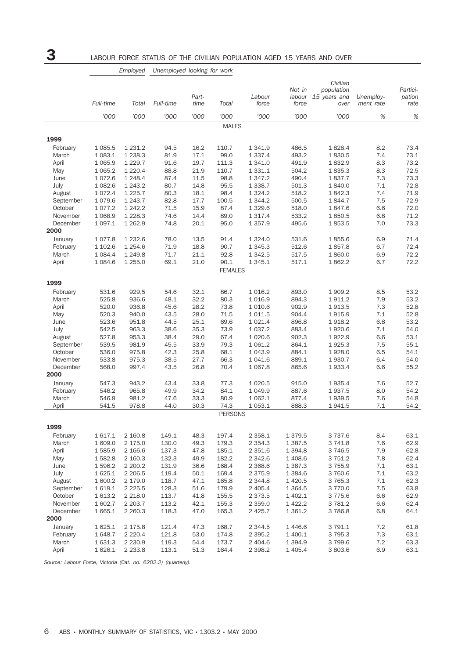|                                                               |                  |                          |              | Part-        |                | Labour                   | Not in            | Civilian<br>population<br>labour 15 years and | Unemploy-  | Partici-<br>pation |
|---------------------------------------------------------------|------------------|--------------------------|--------------|--------------|----------------|--------------------------|-------------------|-----------------------------------------------|------------|--------------------|
|                                                               | Full-time        | Total                    | Full-time    | time         | Total          | force                    | force             | over                                          | ment rate  | rate               |
|                                                               | '000             | '000                     | '000         | '000         | '000           | '000                     | '000              | '000                                          | $\%$       | $\%$               |
|                                                               |                  |                          |              |              | <b>MALES</b>   |                          |                   |                                               |            |                    |
| 1999                                                          |                  |                          |              |              |                |                          |                   |                                               |            |                    |
| February                                                      | 1 0 8 5.5        | 1 2 3 1 . 2              | 94.5         | 16.2         | 110.7          | 1 3 4 1.9                | 486.5             | 1828.4                                        | 8.2        | 73.4               |
| March                                                         | 1 0 8 3.1        | 1 2 3 8 . 3              | 81.9         | 17.1         | 99.0           | 1 3 3 7 . 4              | 493.2             | 1830.5                                        | 7.4        | 73.1               |
| April                                                         | 1 0 6 5.9        | 1 2 2 9.7                | 91.6         | 19.7         | 111.3          | 1 341.0                  | 491.9             | 1832.9                                        | 8.3        | 73.2               |
| May                                                           | 1 0 6 5.2        | 1 2 2 0.4                | 88.8         | 21.9         | 110.7          | 1 3 3 1 . 1              | 504.2             | 1835.3                                        | 8.3        | 72.5               |
| June                                                          | 1072.6           | 1 2 4 8.4                | 87.4         | 11.5         | 98.8           | 1 347.2                  | 490.4             | 1837.7                                        | 7.3        | 73.3               |
| July                                                          | 1 0 8 2.6        | 1 2 4 3.2                | 80.7         | 14.8         | 95.5           | 1 3 3 8.7                | 501.3             | 1840.0                                        | 7.1        | 72.8               |
| August<br>September                                           | 1072.4<br>1079.6 | 1 2 2 5.7<br>1 2 4 3 . 7 | 80.3<br>82.8 | 18.1<br>17.7 | 98.4<br>100.5  | 1 3 2 4 . 2<br>1 3 4 4.2 | 518.2<br>500.5    | 1842.3<br>1844.7                              | 7.4<br>7.5 | 71.9<br>72.9       |
| October                                                       | 1077.2           | 1 242.2                  | 71.5         | 15.9         | 87.4           | 1 3 2 9.6                | 518.0             | 1847.6                                        | 6.6        | 72.0               |
| November                                                      | 1 0 68.9         | 1 2 2 8 . 3              | 74.6         | 14.4         | 89.0           | 1 3 1 7 . 4              | 533.2             | 1850.5                                        | 6.8        | 71.2               |
| December                                                      | 1 0 9 7 . 1      | 1 2 6 2.9                | 74.8         | 20.1         | 95.0           | 1 3 5 7 . 9              | 495.6             | 1853.5                                        | 7.0        | 73.3               |
| 2000                                                          |                  |                          |              |              |                |                          |                   |                                               |            |                    |
| January                                                       | 1077.8           | 1 2 3 2.6                | 78.0         | 13.5         | 91.4           | 1 3 2 4 .0               | 531.6             | 1855.6                                        | 6.9        | 71.4               |
| February                                                      | 1 102.6          | 1 2 5 4.6                | 71.9         | 18.8         | 90.7           | 1 3 4 5 . 3              | 512.6             | 1857.8                                        | 6.7        | 72.4               |
| March                                                         | 1 0 8 4 . 4      | 1 2 4 9.8                | 71.7         | 21.1         | 92.8           | 1 3 4 2.5                | 517.5             | 1860.0                                        | 6.9        | 72.2               |
| April                                                         | 1 0 8 4 . 6      | 1 2 5 5.0                | 69.1         | 21.0         | 90.1           | 1 3 4 5 . 1              | 517.1             | 1862.2                                        | 6.7        | 72.2               |
|                                                               |                  |                          |              |              | <b>FEMALES</b> |                          |                   |                                               |            |                    |
| 1999                                                          |                  |                          |              |              |                |                          |                   |                                               |            |                    |
| February                                                      | 531.6            | 929.5                    | 54.6         | 32.1         | 86.7           | 1 0 1 6.2                | 893.0             | 1 909.2                                       | 8.5        | 53.2               |
| March                                                         | 525.8            | 936.6                    | 48.1         | 32.2         | 80.3           | 1 0 1 6.9                | 894.3             | 1911.2                                        | 7.9        | 53.2               |
| April                                                         | 520.0            | 936.8                    | 45.6         | 28.2         | 73.8           | 1 0 1 0.6                | 902.9             | 1913.5                                        | 7.3        | 52.8               |
| May                                                           | 520.3            | 940.0                    | 43.5         | 28.0         | 71.5           | 1 0 1 1.5                | 904.4             | 1915.9                                        | 7.1        | 52.8               |
| June                                                          | 523.6            | 951.8                    | 44.5         | 25.1         | 69.6           | 1 0 2 1.4                | 896.8             | 1918.2                                        | 6.8        | 53.2               |
| July                                                          | 542.5            | 963.3                    | 38.6         | 35.3         | 73.9           | 1 0 3 7 . 2              | 883.4             | 1920.6                                        | 7.1        | 54.0               |
| August                                                        | 527.8            | 953.3                    | 38.4         | 29.0         | 67.4           | 1 0 20.6                 | 902.3             | 1922.9                                        | 6.6        | 53.1               |
| September                                                     | 539.5            | 981.9                    | 45.5         | 33.9         | 79.3           | 1 0 6 1.2                | 864.1             | 1925.3                                        | 7.5        | 55.1               |
| October<br>November                                           | 536.0<br>533.8   | 975.8<br>975.3           | 42.3<br>38.5 | 25.8<br>27.7 | 68.1<br>66.3   | 1 0 4 3.9<br>1 041.6     | 884.1<br>889.1    | 1928.0<br>1930.7                              | 6.5<br>6.4 | 54.1<br>54.0       |
| December                                                      | 568.0            | 997.4                    | 43.5         | 26.8         | 70.4           | 1 0 6 7 .8               | 865.6             | 1933.4                                        | 6.6        | 55.2               |
| 2000                                                          |                  |                          |              |              |                |                          |                   |                                               |            |                    |
| January                                                       | 547.3            | 943.2                    | 43.4         | 33.8         | 77.3           | 1 0 2 0.5                | 915.0             | 1935.4                                        | 7.6        | 52.7               |
| February                                                      | 546.2            | 965.8                    | 49.9         | 34.2         | 84.1           | 1 0 4 9.9                | 887.6             | 1937.5                                        | 8.0        | 54.2               |
| March                                                         | 546.9            | 981.2                    | 47.6         | 33.3         | 80.9           | 1 0 6 2.1                | 877.4             | 1939.5                                        | 7.6        | 54.8               |
| April                                                         | 541.5            | 978.8                    | 44.0         | 30.3         | 74.3           | 1 0 5 3.1                | 888.3             | 1941.5                                        | 7.1        | 54.2               |
|                                                               |                  |                          |              |              | <b>PERSONS</b> |                          |                   |                                               |            |                    |
| 1999                                                          |                  |                          |              |              |                |                          |                   |                                               |            |                    |
| February                                                      | 1617.1           | 2 160.8                  | 149.1        | 48.3         | 197.4          | 2 3 5 8.1                | 1 3 7 9 . 5       | 3 7 3 7 . 6                                   | 8.4        | 63.1               |
| March                                                         | 1 609.0          | 2 175.0                  | 130.0        | 49.3         | 179.3          | 2 3 5 4 . 3              | 1 3 8 7 . 5       | 3 741.8                                       | 7.6        | 62.9               |
| April                                                         | 1585.9           | 2 166.6                  | 137.3        | 47.8         | 185.1          | 2 3 5 1.6                | 1 3 9 4.8         | 3 746.5                                       | 7.9        | 62.8               |
| May                                                           | 1582.8           | 2 160.3                  | 132.3        | 49.9         | 182.2          | 2 342.6                  | 1 408.6           | 3 751.2                                       | 7.8        | 62.4               |
| June                                                          | 1596.2           | 2 200.2                  | 131.9        | 36.6         | 168.4          | 2 3 68.6                 | 1 3 8 7 . 3       | 3 7 5 5.9                                     | 7.1        | 63.1               |
| July                                                          | 1625.1           | 2 2 0 6.5                | 119.4        | 50.1         | 169.4          | 2 375.9                  | 1 3 8 4.6         | 3 760.6                                       | 7.1        | 63.2               |
| August                                                        | 1 600.2          | 2 179.0                  | 118.7        | 47.1         | 165.8          | 2 344.8                  | 1 4 2 0.5         | 3 7 6 5 . 3                                   | 7.1        | 62.3               |
| September                                                     | 1619.1           | 2 2 2 5.5                | 128.3        | 51.6         | 179.9          | 2 4 0 5.4                | 1 3 6 4 .5        | 3 7 7 0.0                                     | 7.5        | 63.8               |
| October                                                       | 1613.2           | 2 2 1 8 .0               | 113.7        | 41.8         | 155.5          | 2 3 7 3 .5               | 1 402.1           | 3 7 7 5.6                                     | 6.6        | 62.9               |
| November                                                      | 1602.7           | 2 2 0 3.7                | 113.2        | 42.1         | 155.3          | 2 3 5 9.0                | 1 4 2 2.2         | 3 781.2                                       | 6.6        | 62.4               |
| December<br>2000                                              | 1665.1           | 2 2 6 0.3                | 118.3        | 47.0         | 165.3          | 2 4 2 5.7                | 1 3 6 1.2         | 3786.8                                        | 6.8        | 64.1               |
|                                                               |                  | 2 175.8                  | 121.4        |              |                |                          |                   |                                               | 7.2        |                    |
| January<br>February                                           | 1625.1<br>1648.7 | 2 2 2 0.4                | 121.8        | 47.3<br>53.0 | 168.7<br>174.8 | 2 3 4 4.5<br>2 3 9 5.2   | 1446.6<br>1 400.1 | 3 791.1<br>3 795.3                            | 7.3        | 61.8<br>63.1       |
| March                                                         | 1631.3           | 2 2 3 0.9                | 119.3        | 54.4         | 173.7          | 2 404.6                  | 1 3 9 4 . 9       | 3799.6                                        | 7.2        | 63.3               |
| April                                                         | 1626.1           | 2 2 3 3.8                | 113.1        | 51.3         | 164.4          | 2 3 9 8.2                | 1 4 0 5.4         | 3 803.6                                       | 6.9        | 63.1               |
| Source: Labour Force, Victoria (Cat. no. 6202.2) (quarterly). |                  |                          |              |              |                |                          |                   |                                               |            |                    |

*Employed Unemployed looking for work*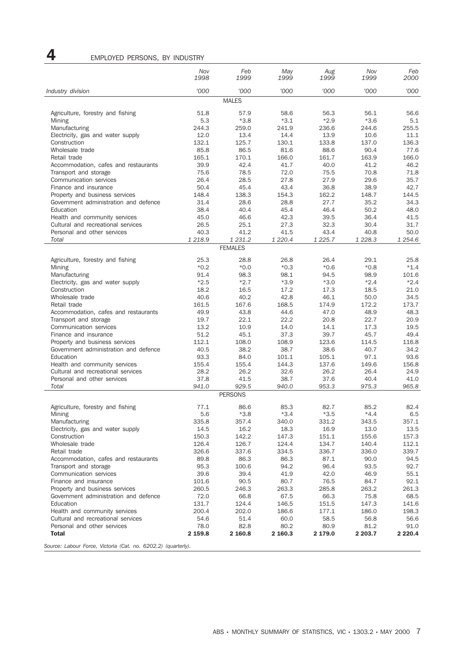## 4 EMPLOYED PERSONS, BY INDUSTRY

|                                                                   | Nov<br>1998    | Feb<br>1999             | May<br>1999    | Aug<br>1999    | Nov<br>1999    | Feb<br>2000    |
|-------------------------------------------------------------------|----------------|-------------------------|----------------|----------------|----------------|----------------|
| Industry division                                                 | '000           | '000                    | '000           | '000           | '000           | '000           |
|                                                                   |                | <b>MALES</b>            |                |                |                |                |
| Agriculture, forestry and fishing                                 | 51.8           | 57.9                    | 58.6           | 56.3           | 56.1           | 56.6           |
| Mining                                                            | 5.3            | $*3.8$                  | $*3.1$         | $*2.9$         | $*3.6$         | 5.1            |
| Manufacturing                                                     | 244.3          | 259.0                   | 241.9          | 236.6          | 244.6          | 255.5          |
| Electricity, gas and water supply                                 | 12.0           | 13.4                    | 14.4           | 13.9           | 10.6           | 11.1           |
| Construction                                                      | 132.1          | 125.7                   | 130.1          | 133.8          | 137.0          | 136.3          |
| Wholesale trade                                                   | 85.8           | 86.5                    | 81.6           | 88.6           | 90.4           | 77.6           |
| Retail trade                                                      | 165.1          | 170.1                   | 166.0          | 161.7          | 163.9          | 166.0          |
| Accommodation, cafes and restaurants<br>Transport and storage     | 39.9<br>75.6   | 42.4<br>78.5            | 41.7<br>72.0   | 40.0<br>75.5   | 41.2<br>70.8   | 46.2<br>71.8   |
| Communication services                                            | 26.4           | 28.5                    | 27.8           | 27.9           | 29.6           | 35.7           |
| Finance and insurance                                             | 50.4           | 45.4                    | 43.4           | 36.8           | 38.9           | 42.7           |
| Property and business services                                    | 148.4          | 138.3                   | 154.3          | 162.2          | 148.7          | 144.5          |
| Government administration and defence                             | 31.4           | 28.6                    | 28.8           | 27.7           | 35.2           | 34.3           |
| Education                                                         | 38.4           | 40.4                    | 45.4           | 46.4           | 50.2           | 48.0           |
| Health and community services                                     | 45.0           | 46.6                    | 42.3           | 39.5           | 36.4           | 41.5           |
| Cultural and recreational services                                | 26.5           | 25.1                    | 27.3           | 32.3           | 30.4           | 31.7           |
| Personal and other services                                       | 40.3           | 41.2                    | 41.5           | 43.4           | 40.8           | 50.0           |
| Total                                                             | 1 218.9        | 1 231.2                 | 1 2 2 0.4      | 1 2 2 5 . 7    | 1 2 28.3       | 1 254.6        |
|                                                                   |                | <b>FEMALES</b>          |                |                |                |                |
| Agriculture, forestry and fishing                                 | 25.3           | 28.8                    | 26.8           | 26.4           | 29.1           | 25.8           |
| Mining                                                            | $*0.2$         | $*0.0*$                 | $*0.3$         | $*0.6$         | $*0.8$         | $*1.4$         |
| Manufacturing                                                     | 91.4           | 98.3                    | 98.1           | 94.5           | 98.9           | 101.6          |
| Electricity, gas and water supply                                 | $*2.5$         | $*2.7$                  | $*3.9$         | $*3.0$         | $*2.4$         | $*2.4$         |
| Construction                                                      | 18.2           | 16.5                    | 17.2           | 17.3           | 18.5           | 21.0           |
| Wholesale trade                                                   | 40.6           | 40.2                    | 42.8           | 46.1           | 50.0           | 34.5           |
| Retail trade<br>Accommodation, cafes and restaurants              | 161.5<br>49.9  | 167.6<br>43.8           | 168.5<br>44.6  | 174.9<br>47.0  | 172.2<br>48.9  | 173.7<br>48.3  |
| Transport and storage                                             | 19.7           | 22.1                    | 22.2           | 20.8           | 22.7           | 20.9           |
| Communication services                                            | 13.2           | 10.9                    | 14.0           | 14.1           | 17.3           | 19.5           |
| Finance and insurance                                             | 51.2           | 45.1                    | 37.3           | 39.7           | 45.7           | 49.4           |
| Property and business services                                    | 112.1          | 108.0                   | 108.9          | 123.6          | 114.5          | 116.8          |
| Government administration and defence                             | 40.5           | 38.2                    | 38.7           | 38.6           | 40.7           | 34.2           |
| Education                                                         | 93.3           | 84.0                    | 101.1          | 105.1          | 97.1           | 93.6           |
| Health and community services                                     | 155.4          | 155.4                   | 144.3          | 137.6          | 149.6          | 156.8          |
| Cultural and recreational services                                | 28.2           | 26.2                    | 32.6           | 26.2           | 26.4           | 24.9           |
| Personal and other services                                       | 37.8           | 41.5                    | 38.7           | 37.6           | 40.4           | 41.0           |
| Total                                                             | 941.0          | 929.5<br><b>PERSONS</b> | 940.0          | 953.3          | 975.3          | 965.8          |
|                                                                   |                |                         |                |                |                |                |
| Agriculture, forestry and fishing                                 | 77.1           | 86.6                    | 85.3           | 82.7           | 85.2           | 82.4           |
| Mining                                                            | 5.6            | $*3.8$                  | $*3.4$         | $*3.5$         | $*4.4$         | 6.5            |
| Manufacturing                                                     | 335.8          | 357.4                   | 340.0          | 331.2          | 343.5          | 357.1          |
| Electricity, gas and water supply                                 | 14.5           | 16.2                    | 18.3           | 16.9           | 13.0           | 13.5           |
| Construction<br>Wholesale trade                                   | 150.3<br>126.4 | 142.2<br>126.7          | 147.3<br>124.4 | 151.1<br>134.7 | 155.6<br>140.4 | 157.3<br>112.1 |
| Retail trade                                                      | 326.6          | 337.6                   | 334.5          | 336.7          | 336.0          | 339.7          |
| Accommodation, cafes and restaurants                              | 89.8           | 86.3                    | 86.3           | 87.1           | 90.0           | 94.5           |
| Transport and storage                                             | 95.3           | 100.6                   | 94.2           | 96.4           | 93.5           | 92.7           |
| Communication services                                            | 39.6           | 39.4                    | 41.9           | 42.0           | 46.9           | 55.1           |
| Finance and insurance                                             | 101.6          | 90.5                    | 80.7           | 76.5           | 84.7           | 92.1           |
| Property and business services                                    | 260.5          | 246.3                   | 263.3          | 285.8          | 263.2          | 261.3          |
| Government administration and defence                             | 72.0           | 66.8                    | 67.5           | 66.3           | 75.8           | 68.5           |
| Education                                                         | 131.7          | 124.4                   | 146.5          | 151.5          | 147.3          | 141.6          |
| Health and community services                                     | 200.4          | 202.0                   | 186.6          | 177.1          | 186.0          | 198.3          |
| Cultural and recreational services<br>Personal and other services | 54.6<br>78.0   | 51.4<br>82.8            | 60.0<br>80.2   | 58.5<br>80.9   | 56.8<br>81.2   | 56.6<br>91.0   |
| <b>Total</b>                                                      | 2 159.8        | 2 160.8                 | 2 160.3        | 2 179.0        | 2 203.7        | 2 2 2 0 . 4    |
|                                                                   |                |                         |                |                |                |                |

*Source: Labour Force, Victoria (Cat. no. 6202.2) (quarterly).*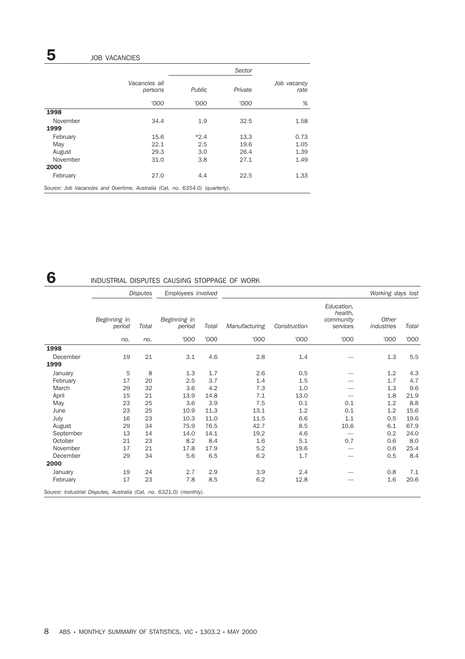# **5** JOB VACANCIES

|                                                                              |                          |               | Sector  |                     |
|------------------------------------------------------------------------------|--------------------------|---------------|---------|---------------------|
|                                                                              | Vacancies all<br>persons | <b>Public</b> | Private | Job vacancy<br>rate |
|                                                                              | '000                     | '000          | '000    | %                   |
| 1998                                                                         |                          |               |         |                     |
| November                                                                     | 34.4                     | 1.9           | 32.5    | 1.58                |
| 1999                                                                         |                          |               |         |                     |
| February                                                                     | 15.6                     | $*2.4$        | 13.3    | 0.73                |
| May                                                                          | 22.1                     | 2.5           | 19.6    | 1.05                |
| August                                                                       | 29.3                     | 3.0           | 26.4    | 1.39                |
| November                                                                     | 31.0                     | 3.8           | 27.1    | 1.49                |
| 2000                                                                         |                          |               |         |                     |
| February                                                                     | 27.0                     | 4.4           | 22.5    | 1.33                |
| Source: Job Vacancies and Overtime, Australia (Cat. no. 6354.0) (quarterly). |                          |               |         |                     |

## 6 INDUSTRIAL DISPUTES CAUSING STOPPAGE OF WORK

|                                                                     |                                 | <b>Disputes</b> | Employees involved     |       |               |              |                                                | Working days lost   |       |
|---------------------------------------------------------------------|---------------------------------|-----------------|------------------------|-------|---------------|--------------|------------------------------------------------|---------------------|-------|
|                                                                     | Beginning in<br>Total<br>period |                 | Beginning in<br>period | Total | Manufacturing | Construction | Education,<br>health,<br>community<br>services | Other<br>industries | Total |
|                                                                     | no.                             | no.             | '000                   | '000  | '000          | '000         | '000                                           | '000                | '000  |
| 1998                                                                |                                 |                 |                        |       |               |              |                                                |                     |       |
| December                                                            | 19                              | 21              | 3.1                    | 4.6   | 2.8           | 1.4          |                                                | 1.3                 | 5.5   |
| 1999                                                                |                                 |                 |                        |       |               |              |                                                |                     |       |
| January                                                             | 5                               | 8               | 1.3                    | 1.7   | 2.6           | 0.5          |                                                | 1.2                 | 4.3   |
| February                                                            | 17                              | 20              | 2.5                    | 3.7   | 1.4           | 1.5          |                                                | 1.7                 | 4.7   |
| March                                                               | 29                              | 32              | 3.6                    | 4.2   | 7.3           | 1.0          |                                                | 1.3                 | 9.6   |
| April                                                               | 15                              | 21              | 13.9                   | 14.8  | 7.1           | 13.0         |                                                | 1.8                 | 21.9  |
| May                                                                 | 23                              | 25              | 3.6                    | 3.9   | 7.5           | 0.1          | 0.1                                            | 1.2                 | 8.8   |
| June                                                                | 23                              | 25              | 10.9                   | 11.3  | 13.1          | 1.2          | 0.1                                            | 1.2                 | 15.6  |
| July                                                                | 16                              | 23              | 10.3                   | 11.0  | 11.5          | 6.6          | 1.1                                            | 0.5                 | 19.6  |
| August                                                              | 29                              | 34              | 75.9                   | 76.5  | 42.7          | 8.5          | 10.6                                           | 6.1                 | 67.9  |
| September                                                           | 13                              | 14              | 14.0                   | 14.1  | 19.2          | 4.6          |                                                | 0.2                 | 24.0  |
| October                                                             | 21                              | 23              | 8.2                    | 8.4   | 1.6           | 5.1          | 0.7                                            | 0.6                 | 8.0   |
| November                                                            | 17                              | 21              | 17.8                   | 17.9  | 5.2           | 19.6         |                                                | 0.6                 | 25.4  |
| December                                                            | 29                              | 34              | 5.6                    | 6.5   | 6.2           | 1.7          |                                                | 0.5                 | 8.4   |
| 2000                                                                |                                 |                 |                        |       |               |              |                                                |                     |       |
| January                                                             | 19                              | 24              | 2.7                    | 2.9   | 3.9           | 2.4          |                                                | 0.8                 | 7.1   |
| February                                                            | 17                              | 23              | 7.8                    | 8.5   | 6.2           | 12.8         |                                                | 1.6                 | 20.6  |
| Source: Industrial Disputes, Australia (Cat. no. 6321.0) (monthly). |                                 |                 |                        |       |               |              |                                                |                     |       |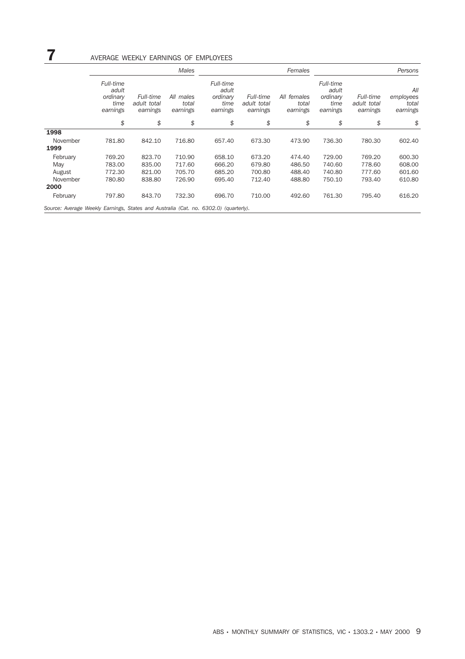|                                                                                      |                                                    |                                      | <b>Males</b>                   |                                                    |                                      | Females                          |                                                    |                                      | Persons                               |
|--------------------------------------------------------------------------------------|----------------------------------------------------|--------------------------------------|--------------------------------|----------------------------------------------------|--------------------------------------|----------------------------------|----------------------------------------------------|--------------------------------------|---------------------------------------|
|                                                                                      | Full-time<br>adult<br>ordinary<br>time<br>earnings | Full-time<br>adult total<br>earnings | All males<br>total<br>earnings | Full-time<br>adult<br>ordinary<br>time<br>earnings | Full-time<br>adult total<br>earnings | All females<br>total<br>earnings | Full-time<br>adult<br>ordinary<br>time<br>earnings | Full-time<br>adult total<br>earnings | All<br>employees<br>total<br>earnings |
|                                                                                      | \$                                                 | \$                                   | \$                             | \$                                                 | \$                                   | \$                               | \$                                                 | \$                                   | \$                                    |
| 1998                                                                                 |                                                    |                                      |                                |                                                    |                                      |                                  |                                                    |                                      |                                       |
| November                                                                             | 781.80                                             | 842.10                               | 716.80                         | 657.40                                             | 673.30                               | 473.90                           | 736.30                                             | 780.30                               | 602.40                                |
| 1999                                                                                 |                                                    |                                      |                                |                                                    |                                      |                                  |                                                    |                                      |                                       |
| February                                                                             | 769.20                                             | 823.70                               | 710.90                         | 658.10                                             | 673.20                               | 474.40                           | 729.00                                             | 769.20                               | 600.30                                |
| May                                                                                  | 783.00                                             | 835.00                               | 717.60                         | 666.20                                             | 679.80                               | 486.50                           | 740.60                                             | 778.60                               | 608.00                                |
| August                                                                               | 772.30                                             | 821.00                               | 705.70                         | 685.20                                             | 700.80                               | 488.40                           | 740.80                                             | 777.60                               | 601.60                                |
| November                                                                             | 780.80                                             | 838.80                               | 726.90                         | 695.40                                             | 712.40                               | 488.80                           | 750.10                                             | 793.40                               | 610.80                                |
| 2000                                                                                 |                                                    |                                      |                                |                                                    |                                      |                                  |                                                    |                                      |                                       |
| February                                                                             | 797.80                                             | 843.70                               | 732.30                         | 696.70                                             | 710.00                               | 492.60                           | 761.30                                             | 795.40                               | 616.20                                |
| Source: Average Weekly Earnings, States and Australia (Cat. no. 6302.0) (quarterly). |                                                    |                                      |                                |                                                    |                                      |                                  |                                                    |                                      |                                       |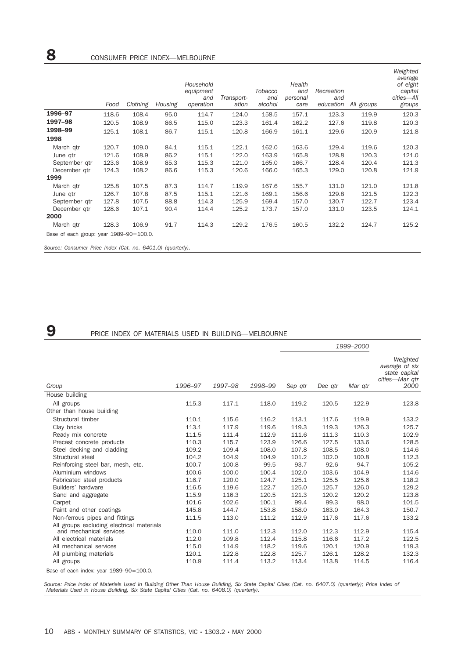|                                                                                      | Food  | Clothing | Housing | Household<br>equipment<br>and<br>operation | Transport-<br>ation | Tobacco<br>and<br>alcohol | Health<br>and<br>personal<br>care | Recreation<br>and<br>education | All groups | Weighted<br>average<br>of eight<br>capital<br>cities-All<br>groups |
|--------------------------------------------------------------------------------------|-------|----------|---------|--------------------------------------------|---------------------|---------------------------|-----------------------------------|--------------------------------|------------|--------------------------------------------------------------------|
| 1996-97                                                                              | 118.6 | 108.4    | 95.0    | 114.7                                      | 124.0               | 158.5                     | 157.1                             | 123.3                          | 119.9      | 120.3                                                              |
| 1997-98                                                                              | 120.5 | 108.9    | 86.5    | 115.0                                      | 123.3               | 161.4                     | 162.2                             | 127.6                          | 119.8      | 120.3                                                              |
| 1998-99                                                                              | 125.1 | 108.1    | 86.7    | 115.1                                      | 120.8               | 166.9                     | 161.1                             | 129.6                          | 120.9      | 121.8                                                              |
| 1998                                                                                 |       |          |         |                                            |                     |                           |                                   |                                |            |                                                                    |
| March qtr                                                                            | 120.7 | 109.0    | 84.1    | 115.1                                      | 122.1               | 162.0                     | 163.6                             | 129.4                          | 119.6      | 120.3                                                              |
| June qtr                                                                             | 121.6 | 108.9    | 86.2    | 115.1                                      | 122.0               | 163.9                     | 165.8                             | 128.8                          | 120.3      | 121.0                                                              |
| September gtr                                                                        | 123.6 | 108.9    | 85.3    | 115.3                                      | 121.0               | 165.0                     | 166.7                             | 128.4                          | 120.4      | 121.3                                                              |
| December gtr                                                                         | 124.3 | 108.2    | 86.6    | 115.3                                      | 120.6               | 166.0                     | 165.3                             | 129.0                          | 120.8      | 121.9                                                              |
| 1999                                                                                 |       |          |         |                                            |                     |                           |                                   |                                |            |                                                                    |
| March qtr                                                                            | 125.8 | 107.5    | 87.3    | 114.7                                      | 119.9               | 167.6                     | 155.7                             | 131.0                          | 121.0      | 121.8                                                              |
| June qtr                                                                             | 126.7 | 107.8    | 87.5    | 115.1                                      | 121.6               | 169.1                     | 156.6                             | 129.8                          | 121.5      | 122.3                                                              |
| September gtr                                                                        | 127.8 | 107.5    | 88.8    | 114.3                                      | 125.9               | 169.4                     | 157.0                             | 130.7                          | 122.7      | 123.4                                                              |
| December gtr                                                                         | 128.6 | 107.1    | 90.4    | 114.4                                      | 125.2               | 173.7                     | 157.0                             | 131.0                          | 123.5      | 124.1                                                              |
| 2000                                                                                 |       |          |         |                                            |                     |                           |                                   |                                |            |                                                                    |
| March gtr                                                                            | 128.3 | 106.9    | 91.7    | 114.3                                      | 129.2               | 176.5                     | 160.5                             | 132.2                          | 124.7      | 125.2                                                              |
| Base of each group: year 1989-90=100.0.<br>$\sim$ $\sim$ $\sim$ $\sim$ $\sim$ $\sim$ |       |          |         |                                            |                     |                           |                                   |                                |            |                                                                    |

*Source: Consumer Price Index (Cat. no. 6401.0) (quarterly).*

## 9 PRICE INDEX OF MATERIALS USED IN BUILDING—MELBOURNE

|                                                                      |         |         |         |         |         | 1999-2000 |                                                                       |
|----------------------------------------------------------------------|---------|---------|---------|---------|---------|-----------|-----------------------------------------------------------------------|
| Group                                                                | 1996-97 | 1997-98 | 1998-99 | Sep qtr | Dec qtr | Mar gtr   | Weighted<br>average of six<br>state capital<br>cities-Mar gtr<br>2000 |
| House building                                                       |         |         |         |         |         |           |                                                                       |
| All groups                                                           | 115.3   | 117.1   | 118.0   | 119.2   | 120.5   | 122.9     | 123.8                                                                 |
| Other than house building                                            |         |         |         |         |         |           |                                                                       |
| Structural timber                                                    | 110.1   | 115.6   | 116.2   | 113.1   | 117.6   | 119.9     | 133.2                                                                 |
| Clay bricks                                                          | 113.1   | 117.9   | 119.6   | 119.3   | 119.3   | 126.3     | 125.7                                                                 |
| Ready mix concrete                                                   | 111.5   | 111.4   | 112.9   | 111.6   | 111.3   | 110.3     | 102.9                                                                 |
| Precast concrete products                                            | 110.3   | 115.7   | 123.9   | 126.6   | 127.5   | 133.6     | 128.5                                                                 |
| Steel decking and cladding                                           | 109.2   | 109.4   | 108.0   | 107.8   | 108.5   | 108.0     | 114.6                                                                 |
| Structural steel                                                     | 104.2   | 104.9   | 104.9   | 101.2   | 102.0   | 100.8     | 112.3                                                                 |
| Reinforcing steel bar, mesh, etc.                                    | 100.7   | 100.8   | 99.5    | 93.7    | 92.6    | 94.7      | 105.2                                                                 |
| Aluminium windows                                                    | 100.6   | 100.0   | 100.4   | 102.0   | 103.6   | 104.9     | 114.6                                                                 |
| Fabricated steel products                                            | 116.7   | 120.0   | 124.7   | 125.1   | 125.5   | 125.6     | 118.2                                                                 |
| Builders' hardware                                                   | 116.5   | 119.6   | 122.7   | 125.0   | 125.7   | 126.0     | 129.2                                                                 |
| Sand and aggregate                                                   | 115.9   | 116.3   | 120.5   | 121.3   | 120.2   | 120.2     | 123.8                                                                 |
| Carpet                                                               | 101.6   | 102.6   | 100.1   | 99.4    | 99.3    | 98.0      | 101.5                                                                 |
| Paint and other coatings                                             | 145.8   | 144.7   | 153.8   | 158.0   | 163.0   | 164.3     | 150.7                                                                 |
| Non-ferrous pipes and fittings                                       | 111.5   | 113.0   | 111.2   | 112.9   | 117.6   | 117.6     | 133.2                                                                 |
| All groups excluding electrical materials<br>and mechanical services | 110.0   | 111.0   | 112.3   | 112.0   | 112.3   | 112.9     | 115.4                                                                 |
| All electrical materials                                             | 112.0   | 109.8   | 112.4   | 115.8   | 116.6   | 117.2     | 122.5                                                                 |
| All mechanical services                                              | 115.0   | 114.9   | 118.2   | 119.6   | 120.1   | 120.9     | 119.3                                                                 |
| All plumbing materials                                               | 120.1   | 122.8   | 122.8   | 125.7   | 126.1   | 128.2     | 132.3                                                                 |
| All groups                                                           | 110.9   | 111.4   | 113.2   | 113.4   | 113.8   | 114.5     | 116.4                                                                 |
| Base of aseb indow your 1080 00-100 0                                |         |         |         |         |         |           |                                                                       |

Base of each index: year 1989–90=100.0.

Source: Price Index of Materials Used in Building Other Than House Building, Six State Capital Cities (Cat. no. 6407.0) (quarterly); Price Index of<br>Materials Used in House Building, Six State Capital Cities (Cat. no. 6408.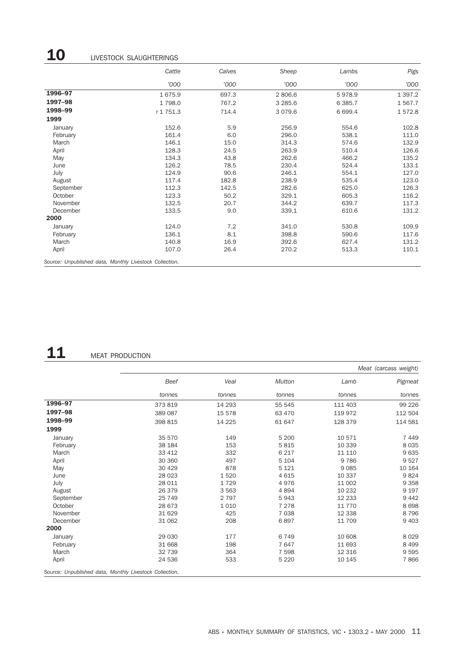# 10 LIVESTOCK SLAUGHTERINGS

|                                                         | Cattle    | Calves | Sheep     | Lambs     | Pigs        |
|---------------------------------------------------------|-----------|--------|-----------|-----------|-------------|
|                                                         | '000      | '000   | '000      | '000      | '000        |
| 1996-97                                                 | 1675.9    | 697.3  | 2806.6    | 5978.9    | 1 3 9 7 . 2 |
| 1997-98                                                 | 1798.0    | 767.2  | 3 2 8 5.6 | 6 3 8 5.7 | 1 567.7     |
| 1998-99                                                 | r 1 751.3 | 714.4  | 3 0 7 9.6 | 6 6 9 9.4 | 1572.8      |
| 1999                                                    |           |        |           |           |             |
| January                                                 | 152.6     | 5.9    | 256.9     | 554.6     | 102.8       |
| February                                                | 161.4     | 6.0    | 296.0     | 538.1     | 111.0       |
| March                                                   | 146.1     | 15.0   | 314.3     | 574.6     | 132.9       |
| April                                                   | 128.3     | 24.5   | 263.9     | 510.4     | 126.6       |
| May                                                     | 134.3     | 43.8   | 262.6     | 466.2     | 135.2       |
| June                                                    | 126.2     | 78.5   | 230.4     | 524.4     | 133.1       |
| July                                                    | 124.9     | 90.6   | 246.1     | 554.1     | 127.0       |
| August                                                  | 117.4     | 182.8  | 238.9     | 535.4     | 123.0       |
| September                                               | 112.3     | 142.5  | 282.6     | 625.0     | 126.3       |
| October                                                 | 123.3     | 50.2   | 329.1     | 605.3     | 116.2       |
| November                                                | 132.5     | 20.7   | 344.2     | 639.7     | 117.3       |
| December                                                | 133.5     | 9.0    | 339.1     | 610.6     | 131.2       |
| 2000                                                    |           |        |           |           |             |
| January                                                 | 124.0     | 7.2    | 341.0     | 530.8     | 109.9       |
| February                                                | 136.1     | 8.1    | 398.8     | 590.6     | 117.6       |
| March                                                   | 140.8     | 16.9   | 392.6     | 627.4     | 131.2       |
| April                                                   | 107.0     | 26.4   | 270.2     | 513.3     | 110.1       |
| Source: Unpublished data, Monthly Livestock Collection. |           |        |           |           |             |

# 11 MEAT PRODUCTION

|           |         |         |               | Meat (carcass weight) |         |  |  |  |
|-----------|---------|---------|---------------|-----------------------|---------|--|--|--|
|           | Beef    | Veal    | <b>Mutton</b> | Lamb                  | Pigmeat |  |  |  |
|           | tonnes  | tonnes  | tonnes        | tonnes                | tonnes  |  |  |  |
| 1996-97   | 373 819 | 14 293  | 55 545        | 111 403               | 99 2 26 |  |  |  |
| 1997-98   | 389 087 | 15 578  | 63 470        | 119 972               | 112 504 |  |  |  |
| 1998-99   | 398 815 | 14 2 25 | 61 647        | 128 379               | 114 581 |  |  |  |
| 1999      |         |         |               |                       |         |  |  |  |
| January   | 35 570  | 149     | 5 200         | 10 571                | 7449    |  |  |  |
| February  | 38 184  | 153     | 5815          | 10 339                | 8 0 3 5 |  |  |  |
| March     | 33 412  | 332     | 6 2 1 7       | 11 110                | 9635    |  |  |  |
| April     | 30 360  | 497     | 5 1 0 4       | 9 7 8 6               | 9527    |  |  |  |
| May       | 30 4 29 | 878     | 5 1 2 1       | 9 0 8 5               | 10 164  |  |  |  |
| June      | 28 0 23 | 1520    | 4615          | 10 337                | 9824    |  |  |  |
| July      | 28 011  | 1729    | 4976          | 11 002                | 9 3 5 8 |  |  |  |
| August    | 26 379  | 3 5 6 3 | 4894          | 10 232                | 9 1 9 7 |  |  |  |
| September | 25 749  | 2 7 9 7 | 5943          | 12 2 3 3              | 9 4 4 2 |  |  |  |
| October   | 28 673  | 1 0 1 0 | 7 2 7 8       | 11 770                | 8698    |  |  |  |
| November  | 31 629  | 425     | 7038          | 12 3 38               | 8796    |  |  |  |
| December  | 31 062  | 208     | 6897          | 11 709                | 9 4 0 3 |  |  |  |
| 2000      |         |         |               |                       |         |  |  |  |
| January   | 29 0 30 | 177     | 6749          | 10 608                | 8 0 2 9 |  |  |  |
| February  | 31 668  | 198     | 7647          | 11 693                | 8 4 9 9 |  |  |  |
| March     | 32 739  | 364     | 7 5 9 8       | 12 3 16               | 9595    |  |  |  |
| April     | 24 536  | 533     | 5 2 2 0       | 10 145                | 7866    |  |  |  |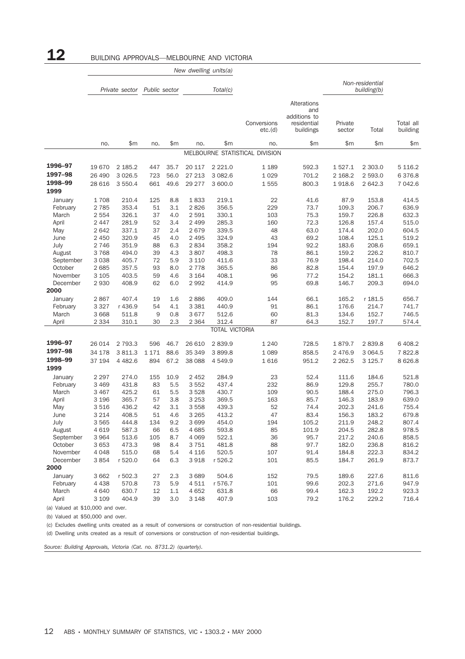|                     |                 |                  |               |            | New dwelling units(a) |                        |                                |                                          |                        |                       |                       |
|---------------------|-----------------|------------------|---------------|------------|-----------------------|------------------------|--------------------------------|------------------------------------------|------------------------|-----------------------|-----------------------|
|                     |                 |                  |               |            |                       |                        |                                |                                          |                        | Non-residential       |                       |
|                     |                 | Private sector   | Public sector |            |                       | Total(c)               |                                |                                          |                        | building(b)           |                       |
|                     |                 |                  |               |            |                       |                        |                                | Alterations<br>and                       |                        |                       |                       |
|                     |                 |                  |               |            |                       |                        | Conversions<br>etc.(d)         | additions to<br>residential<br>buildings | Private<br>sector      | Total                 | Total all<br>building |
|                     | no.             | \$m              | no.           | \$m        | no.                   | \$m                    | no.                            | \$m                                      | \$m                    | \$m                   | \$m                   |
|                     |                 |                  |               |            |                       |                        | MELBOURNE STATISTICAL DIVISION |                                          |                        |                       |                       |
| 1996-97             | 19670           | 2 185.2          |               | 35.7       |                       |                        |                                |                                          |                        |                       |                       |
| 1997-98             | 26 490          | 3 0 26.5         | 447<br>723    | 56.0       | 20 117<br>27 213      | 2 2 2 1.0<br>3 0 8 2.6 | 1 1 8 9<br>1 0 2 9             | 592.3<br>701.2                           | 1 5 2 7 . 1<br>2 168.2 | 2 3 0 3 .0<br>2 593.0 | 5 1 1 6.2<br>6376.8   |
| 1998-99             | 28 616          | 3 550.4          | 661           | 49.6       | 29 277                | 3 600.0                | 1555                           | 800.3                                    | 1918.6                 | 2 642.3               | 7 042.6               |
| 1999                |                 |                  |               |            |                       |                        |                                |                                          |                        |                       |                       |
| January             | 1708            | 210.4            | 125           | 8.8        | 1833                  | 219.1                  | 22                             | 41.6                                     | 87.9                   | 153.8                 | 414.5                 |
| February            | 2 7 8 5         | 353.4            | 51            | 3.1        | 2826                  | 356.5                  | 229                            | 73.7                                     | 109.3                  | 206.7                 | 636.9                 |
| March               | 2 5 5 4         | 326.1            | 37            | 4.0        | 2 5 9 1               | 330.1                  | 103                            | 75.3                                     | 159.7                  | 226.8                 | 632.3                 |
| April               | 2 4 4 7         | 281.9            | 52            | 3.4        | 2 4 9 9               | 285.3                  | 160                            | 72.3                                     | 126.8                  | 157.4                 | 515.0                 |
| May                 | 2 6 4 2         | 337.1            | 37            | 2.4        | 2679                  | 339.5                  | 48                             | 63.0                                     | 174.4                  | 202.0                 | 604.5                 |
| June                | 2 4 5 0         | 320.9            | 45            | 4.0        | 2 4 9 5               | 324.9                  | 43                             | 69.2                                     | 108.4                  | 125.1                 | 519.2                 |
| July                | 2746            | 351.9            | 88            | 6.3        | 2834                  | 358.2                  | 194                            | 92.2                                     | 183.6                  | 208.6                 | 659.1                 |
| August              | 3768            | 494.0            | 39            | 4.3        | 3807                  | 498.3                  | 78                             | 86.1                                     | 159.2                  | 226.2                 | 810.7                 |
| September           | 3 0 3 8         | 405.7            | 72            | 5.9        | 3 1 1 0               | 411.6                  | 33                             | 76.9                                     | 198.4                  | 214.0                 | 702.5                 |
| October             | 2685            | 357.5            | 93            | 8.0        | 2 7 7 8               | 365.5                  | 86                             | 82.8                                     | 154.4                  | 197.9                 | 646.2                 |
| November            | 3 1 0 5         | 403.5            | 59            | 4.6        | 3 1 6 4               | 408.1                  | 96                             | 77.2                                     | 154.2                  | 181.1                 | 666.3                 |
| December<br>2000    | 2930            | 408.9            | 62            | 6.0        | 2992                  | 414.9                  | 95                             | 69.8                                     | 146.7                  | 209.3                 | 694.0                 |
|                     |                 |                  |               |            |                       |                        |                                |                                          |                        |                       |                       |
| January<br>February | 2867<br>3 3 2 7 | 407.4<br>r 436.9 | 19<br>54      | 1.6<br>4.1 | 2886<br>3 3 8 1       | 409.0<br>440.9         | 144<br>91                      | 66.1<br>86.1                             | 165.2<br>176.6         | r 181.5<br>214.7      | 656.7<br>741.7        |
| March               | 3 6 6 8         | 511.8            | 9             | 0.8        | 3 6 7 7               | 512.6                  | 60                             | 81.3                                     | 134.6                  | 152.7                 | 746.5                 |
| April               | 2 3 3 4         | 310.1            | 30            | 2.3        | 2 3 6 4               | 312.4                  | 87                             | 64.3                                     | 152.7                  | 197.7                 | 574.4                 |
|                     |                 |                  |               |            |                       | <b>TOTAL VICTORIA</b>  |                                |                                          |                        |                       |                       |
|                     |                 |                  |               |            |                       |                        |                                |                                          |                        |                       |                       |
| 1996-97             | 26 014          | 2 793.3          | 596           | 46.7       | 26 610                | 2839.9                 | 1 2 4 0                        | 728.5                                    | 1879.7                 | 2839.8                | 6 408.2               |
| 1997-98             | 34 178          | 3 811.3          | 1 1 7 1       | 88.6       | 35 349                | 3899.8                 | 1 0 8 9                        | 858.5                                    | 2 4 7 6.9              | 3 0 6 4.5             | 7822.8                |
| 1998-99             | 37 194          | 4 4 8 2.6        | 894           | 67.2       | 38 0 88               | 4 5 4 9.9              | 1616                           | 951.2                                    | 2 2 6 2.5              | 3 1 2 5 . 7           | 8 6 2 6.8             |
| 1999                |                 |                  |               |            |                       |                        |                                |                                          |                        |                       |                       |
| January             | 2 2 9 7         | 274.0            | 155           | 10.9       | 2 4 5 2               | 284.9                  | 23                             | 52.4                                     | 111.6                  | 184.6                 | 521.8                 |
| February            | 3 4 6 9         | 431.8            | 83            | 5.5        | 3 5 5 2               | 437.4                  | 232                            | 86.9                                     | 129.8                  | 255.7                 | 780.0                 |
| March               | 3 4 6 7         | 425.2            | 61            | 5.5        | 3528                  | 430.7                  | 109                            | 90.5                                     | 188.4                  | 275.0                 | 796.3                 |
| April<br>May        | 3 1 9 6<br>3516 | 365.7<br>436.2   | 57<br>42      | 3.8<br>3.1 | 3 2 5 3<br>3 5 5 8    | 369.5<br>439.3         | 163<br>52                      | 85.7<br>74.4                             | 146.3<br>202.3         | 183.9<br>241.6        | 639.0<br>755.4        |
| June                | 3 2 1 4         | 408.5            | 51            | 4.6        | 3 2 6 5               | 413.2                  | 47                             | 83.4                                     | 156.3                  | 183.2                 | 679.8                 |
| July                | 3565            | 444.8            | 134           | 9.2        | 3699                  | 454.0                  | 194                            | 105.2                                    | 211.9                  | 248.2                 | 807.4                 |
| August              | 4 6 1 9         | 587.3            | 66            | 6.5        | 4685                  | 593.8                  | 85                             | 101.9                                    | 204.5                  | 282.8                 | 978.5                 |
| September           | 3964            | 513.6            | 105           | 8.7        | 4 0 6 9               | 522.1                  | 36                             | 95.7                                     | 217.2                  | 240.6                 | 858.5                 |
| October             | 3653            | 473.3            | 98            | 8.4        | 3751                  | 481.8                  | 88                             | 97.7                                     | 182.0                  | 236.8                 | 816.2                 |
| November            | 4 0 4 8         | 515.0            | 68            | 5.4        | 4 1 1 6               | 520.5                  | 107                            | 91.4                                     | 184.8                  | 222.3                 | 834.2                 |
| December            | 3854            | r 520.0          | 64            | 6.3        | 3918                  | r 526.2                | 101                            | 85.5                                     | 184.7                  | 261.9                 | 873.7                 |
| 2000                |                 |                  |               |            |                       |                        |                                |                                          |                        |                       |                       |
| January             | 3 6 6 2         | r 502.3          | 27            | 2.3        | 3 6 8 9               | 504.6                  | 152                            | 79.5                                     | 189.6                  | 227.6                 | 811.6                 |
| February            | 4 4 3 8         | 570.8            | 73            | 5.9        | 4511                  | r 576.7                | 101                            | 99.6                                     | 202.3                  | 271.6                 | 947.9                 |
| March               | 4 6 4 0         | 630.7            | 12            | 1.1        | 4 6 5 2               | 631.8                  | 66                             | 99.4                                     | 162.3                  | 192.2                 | 923.3                 |
| April               | 3 1 0 9         | 404.9            | 39            | 3.0        | 3 1 4 8               | 407.9                  | 103                            | 79.2                                     | 176.2                  | 229.2                 | 716.4                 |

12 BUILDING APPROVALS—MELBOURNE AND VICTORIA

(a) Valued at \$10,000 and over. (b) Valued at \$50,000 and over.

(c) Excludes dwelling units created as a result of conversions or construction of non-residential buildings.

(d) Dwelling units created as a result of conversions or construction of non-residential buildings.

*Source: Building Approvals, Victoria (Cat. no. 8731.2) (quarterly).*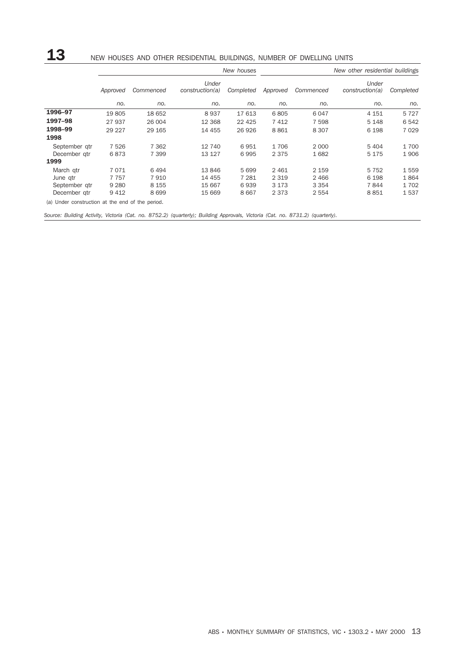## 13 NEW HOUSES AND OTHER RESIDENTIAL BUILDINGS, NUMBER OF DWELLING UNITS

|               |          |           |                          | New houses | New other residential buildings |           |                          |           |
|---------------|----------|-----------|--------------------------|------------|---------------------------------|-----------|--------------------------|-----------|
|               | Approved | Commenced | Under<br>construction(a) | Completed  | Approved                        | Commenced | Under<br>construction(a) | Completed |
|               | no.      | no.       | no.                      | no.        | no.                             | no.       | no.                      | no.       |
| 1996-97       | 19805    | 18 652    | 8937                     | 17613      | 6805                            | 6 0 4 7   | 4 1 5 1                  | 5727      |
| 1997-98       | 27 937   | 26 004    | 12 3 68                  | 22 4 25    | 7412                            | 7 5 9 8   | 5 1 4 8                  | 6542      |
| 1998-99       | 29 2 27  | 29 165    | 14 455                   | 26 9 26    | 8861                            | 8 3 0 7   | 6 1 9 8                  | 7029      |
| 1998          |          |           |                          |            |                                 |           |                          |           |
| September gtr | 7526     | 7 3 6 2   | 12 740                   | 6951       | 1706                            | 2 0 0 0   | 5 4 0 4                  | 1700      |
| December gtr  | 6873     | 7 3 9 9   | 13 127                   | 6995       | 2 3 7 5                         | 1682      | 5 1 7 5                  | 1906      |
| 1999          |          |           |                          |            |                                 |           |                          |           |
| March gtr     | 7071     | 6494      | 13846                    | 5699       | 2461                            | 2 1 5 9   | 5752                     | 1559      |
| June qtr      | 7757     | 7910      | 14 455                   | 7 2 8 1    | 2 3 1 9                         | 2 4 6 6   | 6 1 9 8                  | 1864      |
| September gtr | 9 2 8 0  | 8 1 5 5   | 15 667                   | 6939       | 3 1 7 3                         | 3 3 5 4   | 7844                     | 1702      |
| December gtr  | 9412     | 8699      | 15 669                   | 8667       | 2 3 7 3                         | 2 5 5 4   | 8851                     | 1537      |

(a) Under construction at the end of the period.

*Source: Building Activity, Victoria (Cat. no. 8752.2) (quarterly); Building Approvals, Victoria (Cat. no. 8731.2) (quarterly).*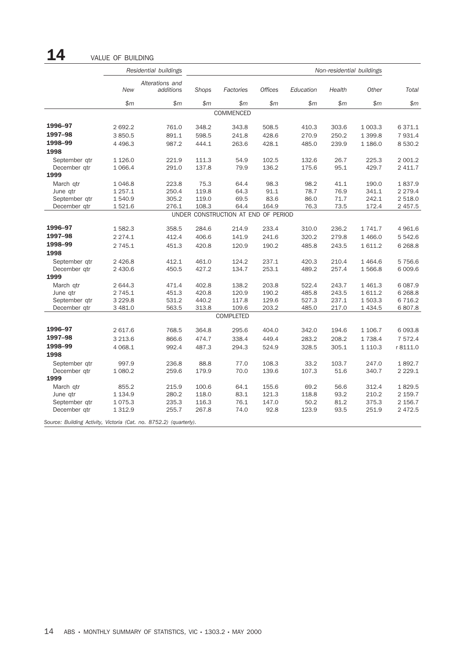|                                                                    |             | Residential buildings        | Non-residential buildings |                                     |                |           |        |             |             |
|--------------------------------------------------------------------|-------------|------------------------------|---------------------------|-------------------------------------|----------------|-----------|--------|-------------|-------------|
|                                                                    | <b>New</b>  | Alterations and<br>additions | Shops                     | Factories                           | <b>Offices</b> | Education | Health | Other       | Total       |
|                                                                    | \$m         | \$m                          | \$m\$                     | \$m\$                               | \$m\$          | \$m\$     | \$m\$  | \$m\$       | $$m$$       |
|                                                                    |             |                              |                           | COMMENCED                           |                |           |        |             |             |
| 1996-97                                                            | 2 692.2     | 761.0                        | 348.2                     | 343.8                               | 508.5          | 410.3     | 303.6  | 1 003.3     | 6 371.1     |
| 1997-98                                                            | 3 8 5 0.5   | 891.1                        | 598.5                     | 241.8                               | 428.6          | 270.9     | 250.2  | 1 3 9 9.8   | 7 9 3 1.4   |
| 1998-99                                                            | 4 4 9 6.3   | 987.2                        | 444.1                     | 263.6                               | 428.1          | 485.0     | 239.9  | 1 186.0     | 8 5 3 0.2   |
| 1998                                                               |             |                              |                           |                                     |                |           |        |             |             |
| September qtr                                                      | 1 1 2 6 .0  | 221.9                        | 111.3                     | 54.9                                | 102.5          | 132.6     | 26.7   | 225.3       | 2 001.2     |
| December gtr                                                       | 1 0 66.4    | 291.0                        | 137.8                     | 79.9                                | 136.2          | 175.6     | 95.1   | 429.7       | 2 411.7     |
| 1999                                                               |             |                              |                           |                                     |                |           |        |             |             |
| March qtr                                                          | 1 0 4 6.8   | 223.8                        | 75.3                      | 64.4                                | 98.3           | 98.2      | 41.1   | 190.0       | 1837.9      |
| June gtr                                                           | 1 257.1     | 250.4                        | 119.8                     | 64.3                                | 91.1           | 78.7      | 76.9   | 341.1       | 2 2 7 9.4   |
| September qtr                                                      | 1540.9      | 305.2                        | 119.0                     | 69.5                                | 83.6           | 86.0      | 71.7   | 242.1       | 2 518.0     |
| December qtr                                                       | 1521.6      | 276.1                        | 108.3                     | 64.4                                | 164.9          | 76.3      | 73.5   | 172.4       | 2 4 5 7 . 5 |
|                                                                    |             |                              |                           | UNDER CONSTRUCTION AT END OF PERIOD |                |           |        |             |             |
| 1996-97                                                            | 1582.3      | 358.5                        | 284.6                     | 214.9                               | 233.4          | 310.0     | 236.2  | 1 741.7     | 4 9 6 1.6   |
| 1997-98                                                            | 2 2 7 4 . 1 | 412.4                        | 406.6                     | 141.9                               | 241.6          | 320.2     | 279.8  | 1 4 6 6.0   | 5 542.6     |
| 1998-99                                                            | 2 7 4 5 . 1 | 451.3                        | 420.8                     | 120.9                               | 190.2          | 485.8     | 243.5  | 1611.2      | 6 2 6 8 .8  |
| 1998                                                               |             |                              |                           |                                     |                |           |        |             |             |
| September gtr                                                      | 2 4 2 6.8   | 412.1                        | 461.0                     | 124.2                               | 237.1          | 420.3     | 210.4  | 1464.6      | 5 7 5 6.6   |
| December gtr                                                       | 2 430.6     | 450.5                        | 427.2                     | 134.7                               | 253.1          | 489.2     | 257.4  | 1566.8      | 6 0 0 9.6   |
| 1999                                                               |             |                              |                           |                                     |                |           |        |             |             |
| March qtr                                                          | 2 644.3     | 471.4                        | 402.8                     | 138.2                               | 203.8          | 522.4     | 243.7  | 1 4 6 1.3   | 6 0 8 7 .9  |
| June gtr                                                           | 2 7 4 5 . 1 | 451.3                        | 420.8                     | 120.9                               | 190.2          | 485.8     | 243.5  | 1611.2      | 6 2 6 8 .8  |
| September gtr                                                      | 3 2 2 9.8   | 531.2                        | 440.2                     | 117.8                               | 129.6          | 527.3     | 237.1  | 1 503.3     | 6 7 1 6.2   |
| December gtr                                                       | 3 481.0     | 563.5                        | 313.8                     | 109.6                               | 203.2          | 485.0     | 217.0  | 1 4 3 4 .5  | 6 807.8     |
|                                                                    |             |                              |                           | COMPLETED                           |                |           |        |             |             |
| 1996-97                                                            | 2 617.6     | 768.5                        | 364.8                     | 295.6                               | 404.0          | 342.0     | 194.6  | 1 106.7     | 6 0 9 3.8   |
| 1997-98                                                            | 3 2 1 3.6   | 866.6                        | 474.7                     | 338.4                               | 449.4          | 283.2     | 208.2  | 1738.4      | 7 572.4     |
| 1998-99                                                            | 4 0 68.1    | 992.4                        | 487.3                     | 294.3                               | 524.9          | 328.5     | 305.1  | 1 1 1 0 . 3 | r 8111.0    |
| 1998                                                               |             |                              |                           |                                     |                |           |        |             |             |
| September qtr                                                      | 997.9       | 236.8                        | 88.8                      | 77.0                                | 108.3          | 33.2      | 103.7  | 247.0       | 1892.7      |
| December gtr                                                       | 1 080.2     | 259.6                        | 179.9                     | 70.0                                | 139.6          | 107.3     | 51.6   | 340.7       | 2 2 2 9 . 1 |
| 1999                                                               |             |                              |                           |                                     |                |           |        |             |             |
| March qtr                                                          | 855.2       | 215.9                        | 100.6                     | 64.1                                | 155.6          | 69.2      | 56.6   | 312.4       | 1829.5      |
| June gtr                                                           | 1 1 3 4 . 9 | 280.2                        | 118.0                     | 83.1                                | 121.3          | 118.8     | 93.2   | 210.2       | 2 159.7     |
| September gtr                                                      | 1075.3      | 235.3                        | 116.3                     | 76.1                                | 147.0          | 50.2      | 81.2   | 375.3       | 2 156.7     |
| December gtr                                                       | 1 3 1 2.9   | 255.7                        | 267.8                     | 74.0                                | 92.8           | 123.9     | 93.5   | 251.9       | 2 4 7 2.5   |
| Source: Building Activity, Victoria (Cat. no. 8752.2) (quarterly). |             |                              |                           |                                     |                |           |        |             |             |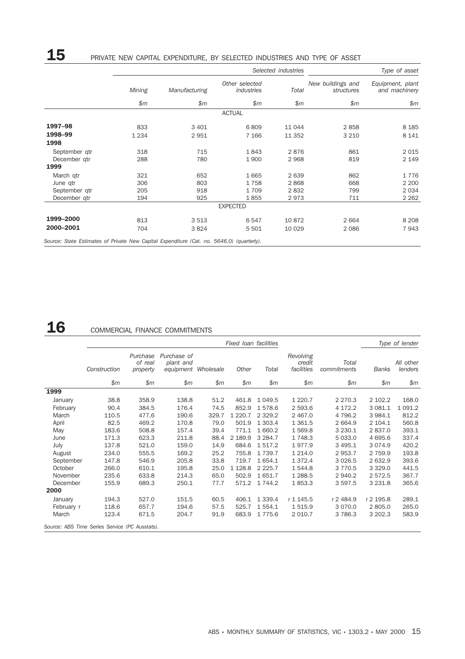# 15 PRIVATE NEW CAPITAL EXPENDITURE, BY SELECTED INDUSTRIES AND TYPE OF ASSET

|               |         |               | Selected industries          | Type of asset |                                 |                                   |
|---------------|---------|---------------|------------------------------|---------------|---------------------------------|-----------------------------------|
|               | Mining  | Manufacturing | Other selected<br>industries | Total         | New buildings and<br>structures | Equipment, plant<br>and machinery |
|               | \$m\$   | \$m           | \$m\$                        | \$m\$         | \$m\$                           | \$m                               |
|               |         |               | <b>ACTUAL</b>                |               |                                 |                                   |
| 1997-98       | 833     | 3 4 0 1       | 6809                         | 11 044        | 2858                            | 8 1 8 5                           |
| 1998-99       | 1 2 3 4 | 2951          | 7 1 6 6                      | 11 352        | 3 2 1 0                         | 8 1 4 1                           |
| 1998          |         |               |                              |               |                                 |                                   |
| September gtr | 318     | 715           | 1843                         | 2876          | 861                             | 2015                              |
| December gtr  | 288     | 780           | 1900                         | 2 9 6 8       | 819                             | 2 1 4 9                           |
| 1999          |         |               |                              |               |                                 |                                   |
| March qtr     | 321     | 652           | 1665                         | 2639          | 862                             | 1776                              |
| June qtr      | 306     | 803           | 1758                         | 2868          | 668                             | 2 2 0 0                           |
| September qtr | 205     | 918           | 1709                         | 2832          | 799                             | 2 0 3 4                           |
| December qtr  | 194     | 925           | 1855                         | 2973          | 711                             | 2 2 6 2                           |
|               |         |               | <b>EXPECTED</b>              |               |                                 |                                   |
| 1999-2000     | 813     | 3 5 1 3       | 6547                         | 10872         | 2 6 6 4                         | 8 2 0 8                           |
| 2000-2001     | 704     | 3824          | 5 5 0 1                      | 10 0 29       | 2 0 8 6                         | 7943                              |

# 16 COMMERCIAL FINANCE COMMITMENTS

|            |                                                |                                 |                                                 |       | Fixed Ioan facilities |           |                                   |                      |             | Type of lender       |
|------------|------------------------------------------------|---------------------------------|-------------------------------------------------|-------|-----------------------|-----------|-----------------------------------|----------------------|-------------|----------------------|
|            | Construction                                   | Purchase<br>of real<br>property | Purchase of<br>plant and<br>equipment Wholesale |       | Other                 | Total     | Revolving<br>credit<br>facilities | Total<br>commitments | Banks       | All other<br>lenders |
|            | \$m                                            | \$m\$                           | \$m\$                                           | \$m\$ | \$m\$                 | \$m\$     | \$m\$                             | \$m\$                | \$m         | \$m\$                |
| 1999       |                                                |                                 |                                                 |       |                       |           |                                   |                      |             |                      |
| January    | 38.8                                           | 358.9                           | 138.8                                           | 51.2  | 461.8                 | 1 0 4 9.5 | 1 2 2 0 . 7                       | 2 2 7 0 . 3          | 2 102.2     | 168.0                |
| February   | 90.4                                           | 384.5                           | 176.4                                           | 74.5  | 852.9                 | 1578.6    | 2 593.6                           | 4 172.2              | 3 081.1     | 1 0 9 1.2            |
| March      | 110.5                                          | 477.6                           | 190.6                                           | 329.7 | 1 2 2 0 . 7           | 2 3 2 9.2 | 2 4 6 7 .0                        | 4 796.2              | 3 984.1     | 812.2                |
| April      | 82.5                                           | 469.2                           | 170.8                                           | 79.0  | 501.9                 | 1 303.4   | 1 3 6 1.5                         | 2 6 6 4.9            | 2 104.1     | 560.8                |
| May        | 183.6                                          | 508.8                           | 157.4                                           | 39.4  | 771.1                 | 1 660.2   | 1569.8                            | 3 2 3 0.1            | 2837.0      | 393.1                |
| June       | 171.3                                          | 623.3                           | 211.8                                           | 88.4  | 2 189.9               | 3 2 8 4.7 | 1748.3                            | 5 033.0              | 4 695.6     | 337.4                |
| July       | 137.8                                          | 521.0                           | 159.0                                           | 14.9  | 684.6                 | 1517.2    | 1977.9                            | 3 4 9 5.1            | 3 0 7 4.9   | 420.2                |
| August     | 234.0                                          | 555.5                           | 169.2                                           | 25.2  | 755.8                 | 1 7 3 9.7 | 1 2 1 4 .0                        | 2953.7               | 2 7 5 9.9   | 193.8                |
| September  | 147.8                                          | 546.9                           | 205.8                                           | 33.8  | 719.7                 | 1654.1    | 1 3 7 2.4                         | 3 0 26.5             | 2 632.9     | 393.6                |
| October    | 266.0                                          | 610.1                           | 195.8                                           | 25.0  | 1 1 28.8              | 2 2 2 5.7 | 1544.8                            | 3 7 7 0.5            | 3 3 2 9 . 0 | 441.5                |
| November   | 235.6                                          | 633.8                           | 214.3                                           | 65.0  | 502.9                 | 1 651.7   | 1 2 8 8.5                         | 2 940.2              | 2 572.5     | 367.7                |
| December   | 155.9                                          | 689.3                           | 250.1                                           | 77.7  | 571.2                 | 1 744.2   | 1853.3                            | 3 5 9 7 .5           | 3 2 3 1.8   | 365.6                |
| 2000       |                                                |                                 |                                                 |       |                       |           |                                   |                      |             |                      |
| January    | 194.3                                          | 527.0                           | 151.5                                           | 60.5  | 406.1                 | 1 3 3 9.4 | r 1 1 4 5 . 5                     | r 2 484.9            | r 2 195.8   | 289.1                |
| February r | 118.6                                          | 657.7                           | 194.6                                           | 57.5  | 525.7                 | 1 554.1   | 1515.9                            | 3 0 7 0 .0           | 2 805.0     | 265.0                |
| March      | 123.4                                          | 671.5                           | 204.7                                           | 91.9  | 683.9                 | 1775.6    | 2 0 1 0.7                         | 3 7 8 6.3            | 3 202.3     | 583.9                |
|            | Source: ABS Time Series Service (PC Ausstats). |                                 |                                                 |       |                       |           |                                   |                      |             |                      |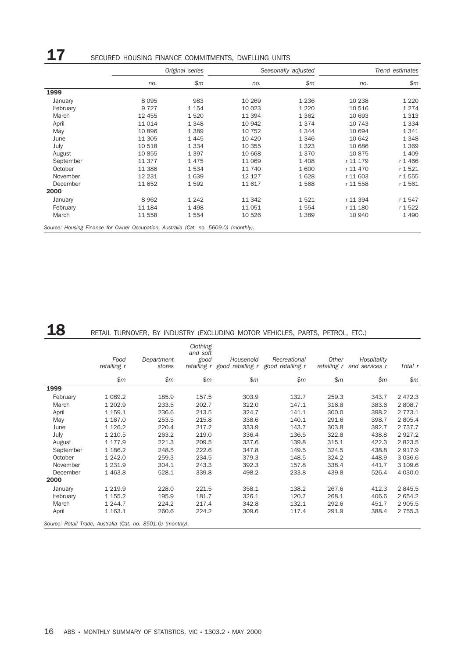#### **17** SECURED HOUSING FINANCE COMMITMENTS, DWELLING UNITS *Original series Seasonally adjusted Trend estimates no. \$m no. \$m no. \$m* 1999 January 8 095 983 10 269 1 236 10 238 1 220 February 9 727 1 154 10 023 1 220 10 516 1 274 March 12 455 1 520 1 1 394 1 362 1 0 693 1 313 April 11 014 1 348 10 942 1 374 1 0743 1 334 May 10 896 1 389 10 752 1 344 10 694 1 341 June 11 305 1 445 10 420 1 346 10 642 1 348 July 10 518 1 334 10 355 1 323 10 686 1 369 August 10 855 1 397 10 668 1 370 10 875 1 409 September 11 377 1 475 11 069 1 408 r 11 179 r 1 466 October 11 386 1 534 11 740 1 600 r 11 470 r 1 521 November 12 231 1 639 12 127 1 628 r 11 603 r 1 555 December 11 652 1 592 11 617 1 568 r 11 558 r 1 561 2000 January 8 962 1 242 11 342 1 521 r 11 394 r 1 547 February 11 184 1 498 11 051 1 554 r 11 180 r 1 522 March 11 558 1 554 10 526 1 389 10 940 1 490 *Source: Housing Finance for Owner Occupation, Australia (Cat. no. 5609.0) (monthly).*

## 18 RETAIL TURNOVER, BY INDUSTRY (EXCLUDING MOTOR VEHICLES, PARTS, PETROL, ETC.)

|                                                              | Food<br>retailing r | Department<br>stores | Clothing<br>and soft<br>good | Household | Recreational<br>retailing r good retailing r good retailing r | Other<br>retailing r | Hospitality<br>and services r | Total r     |
|--------------------------------------------------------------|---------------------|----------------------|------------------------------|-----------|---------------------------------------------------------------|----------------------|-------------------------------|-------------|
|                                                              | \$m\$               | \$m\$                | \$m                          | \$m\$     | \$m\$                                                         | \$m\$                | \$m\$                         | \$m\$       |
| 1999                                                         |                     |                      |                              |           |                                                               |                      |                               |             |
| February                                                     | 1 0 8 9.2           | 185.9                | 157.5                        | 303.9     | 132.7                                                         | 259.3                | 343.7                         | 2 4 7 2.3   |
| March                                                        | 1 202.9             | 233.5                | 202.7                        | 322.0     | 147.1                                                         | 316.8                | 383.6                         | 2 808.7     |
| April                                                        | 1 159.1             | 236.6                | 213.5                        | 324.7     | 141.1                                                         | 300.0                | 398.2                         | 2 7 7 3 . 1 |
| May                                                          | 1 167.0             | 253.5                | 215.8                        | 338.6     | 140.1                                                         | 291.6                | 398.7                         | 2 805.4     |
| June                                                         | 1 1 2 6 . 2         | 220.4                | 217.2                        | 333.9     | 143.7                                                         | 303.8                | 392.7                         | 2 7 3 7 . 7 |
| July                                                         | 1 210.5             | 263.2                | 219.0                        | 336.4     | 136.5                                                         | 322.8                | 438.8                         | 2927.2      |
| August                                                       | 1 177.9             | 221.3                | 209.5                        | 337.6     | 139.8                                                         | 315.1                | 422.3                         | 2 823.5     |
| September                                                    | 1 186.2             | 248.5                | 222.6                        | 347.8     | 149.5                                                         | 324.5                | 438.8                         | 2917.9      |
| October                                                      | 1 242.0             | 259.3                | 234.5                        | 379.3     | 148.5                                                         | 324.2                | 448.9                         | 3 0 3 6.6   |
| November                                                     | 1 2 3 1.9           | 304.1                | 243.3                        | 392.3     | 157.8                                                         | 338.4                | 441.7                         | 3 109.6     |
| December                                                     | 1463.8              | 528.1                | 339.8                        | 498.2     | 233.8                                                         | 439.8                | 526.4                         | 4 0 3 0.0   |
| 2000                                                         |                     |                      |                              |           |                                                               |                      |                               |             |
| January                                                      | 1 2 1 9.9           | 228.0                | 221.5                        | 358.1     | 138.2                                                         | 267.6                | 412.3                         | 2 845.5     |
| February                                                     | 1 1 5 5.2           | 195.9                | 181.7                        | 326.1     | 120.7                                                         | 268.1                | 406.6                         | 2 654.2     |
| March                                                        | 1 244.7             | 224.2                | 217.4                        | 342.8     | 132.1                                                         | 292.6                | 451.7                         | 2 905.5     |
| April                                                        | 1 163.1             | 260.6                | 224.2                        | 309.6     | 117.4                                                         | 291.9                | 388.4                         | 2 7 5 5.3   |
| Source: Retail Trade, Australia (Cat. no. 8501.0) (monthly). |                     |                      |                              |           |                                                               |                      |                               |             |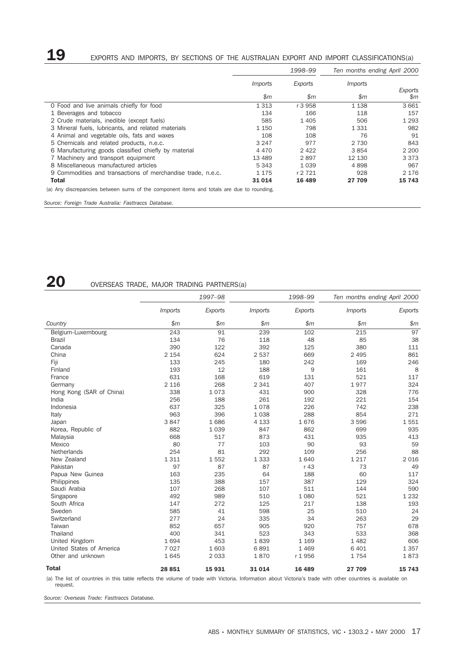# 19 EXPORTS AND IMPORTS, BY SECTIONS OF THE AUSTRALIAN EXPORT AND IMPORT CLASSIFICATIONS(a)

|                                                                                           | 1998-99        |                 | Ten months ending April 2000 |                |  |
|-------------------------------------------------------------------------------------------|----------------|-----------------|------------------------------|----------------|--|
|                                                                                           | <i>Imports</i> | Exports         | <i>Imports</i>               | Exports        |  |
|                                                                                           | \$m\$          | $\mathfrak{S}m$ | \$m\$                        | $\mathfrak{m}$ |  |
| O Food and live animals chiefly for food                                                  | 1 3 1 3        | r 3 958         | 1 1 3 8                      | 3661           |  |
| 1 Beverages and tobacco                                                                   | 134            | 166             | 118                          | 157            |  |
| 2 Crude materials, inedible (except fuels)                                                | 585            | 1 4 0 5         | 506                          | 1 2 9 3        |  |
| 3 Mineral fuels, lubricants, and related materials                                        | 1 1 5 0        | 798             | 1 3 3 1                      | 982            |  |
| 4 Animal and vegetable oils, fats and waxes                                               | 108            | 108             | 76                           | 91             |  |
| 5 Chemicals and related products, n.e.c.                                                  | 3 2 4 7        | 977             | 2 7 3 0                      | 843            |  |
| 6 Manufacturing goods classified chiefly by material                                      | 4 4 7 0        | 2 4 2 2         | 3854                         | 2 200          |  |
| 7 Machinery and transport equipment                                                       | 13 4 89        | 2897            | 12 130                       | 3 3 7 3        |  |
| 8 Miscellaneous manufactured articles                                                     | 5 3 4 3        | 1 0 3 9         | 4898                         | 967            |  |
| 9 Commodities and transactions of merchandise trade, n.e.c.                               | 1 1 7 5        | r 2 721         | 928                          | 2 1 7 6        |  |
| <b>Total</b>                                                                              | 31 0 14        | 16 489          | 27 709                       | 15 743         |  |
| (a) Any discrepancies between sums of the component items and totals are due to rounding. |                |                 |                              |                |  |

*Source: Foreign Trade Australia: Fasttraccs Database.*

## 20 OVERSEAS TRADE, MAJOR TRADING PARTNERS(a)

|                          | 1997-98        |         |                       | 1998-99 | Ten months ending April 2000 |         |  |
|--------------------------|----------------|---------|-----------------------|---------|------------------------------|---------|--|
|                          | <b>Imports</b> | Exports | <i><b>Imports</b></i> | Exports | <b>Imports</b>               | Exports |  |
| Country                  | \$m\$          | \$m\$   | $\mathsf{m}$          | \$m     | \$m                          | \$m     |  |
| Belgium-Luxembourg       | 243            | 91      | 239                   | 102     | 215                          | 97      |  |
| <b>Brazil</b>            | 134            | 76      | 118                   | 48      | 85                           | 38      |  |
| Canada                   | 390            | 122     | 392                   | 125     | 380                          | 111     |  |
| China                    | 2 1 5 4        | 624     | 2537                  | 669     | 2 4 9 5                      | 861     |  |
| Fiji                     | 133            | 245     | 180                   | 242     | 169                          | 246     |  |
| Finland                  | 193            | 12      | 188                   | 9       | 161                          | 8       |  |
| France                   | 631            | 168     | 619                   | 131     | 521                          | 117     |  |
| Germany                  | 2 1 1 6        | 268     | 2 3 4 1               | 407     | 1977                         | 324     |  |
| Hong Kong (SAR of China) | 338            | 1073    | 431                   | 900     | 328                          | 776     |  |
| India                    | 256            | 188     | 261                   | 192     | 221                          | 154     |  |
| Indonesia                | 637            | 325     | 1078                  | 226     | 742                          | 238     |  |
| Italy                    | 963            | 396     | 1038                  | 288     | 854                          | 271     |  |
| Japan                    | 3847           | 1686    | 4 1 3 3               | 1676    | 3 5 9 6                      | 1551    |  |
| Korea, Republic of       | 882            | 1039    | 847                   | 862     | 699                          | 935     |  |
| Malaysia                 | 668            | 517     | 873                   | 431     | 935                          | 413     |  |
| Mexico                   | 80             | 77      | 103                   | 90      | 93                           | 59      |  |
| Netherlands              | 254            | 81      | 292                   | 109     | 256                          | 88      |  |
| New Zealand              | 1 3 1 1        | 1552    | 1 3 3 3               | 1640    | 1 2 1 7                      | 2 0 1 6 |  |
| Pakistan                 | 97             | 87      | 87                    | r 43    | 73                           | 49      |  |
| Papua New Guinea         | 163            | 235     | 64                    | 188     | 60                           | 117     |  |
| Philippines              | 135            | 388     | 157                   | 387     | 129                          | 324     |  |
| Saudi Arabia             | 107            | 268     | 107                   | 511     | 144                          | 590     |  |
| Singapore                | 492            | 989     | 510                   | 1 0 8 0 | 521                          | 1 2 3 2 |  |
| South Africa             | 147            | 272     | 125                   | 217     | 138                          | 193     |  |
| Sweden                   | 585            | 41      | 598                   | 25      | 510                          | 24      |  |
| Switzerland              | 277            | 24      | 335                   | 34      | 263                          | 29      |  |
| Taiwan                   | 852            | 657     | 905                   | 920     | 757                          | 678     |  |
| Thailand                 | 400            | 341     | 523                   | 343     | 533                          | 368     |  |
| United Kingdom           | 1694           | 453     | 1839                  | 1 1 6 9 | 1482                         | 606     |  |
| United States of America | 7 0 2 7        | 1 603   | 6891                  | 1 4 6 9 | 6 4 0 1                      | 1357    |  |
| Other and unknown        | 1645           | 2 0 3 3 | 1870                  | r 1956  | 1754                         | 1873    |  |
| <b>Total</b>             | 28 851         | 15931   | 31 0 14               | 16 489  | 27 709                       | 15 743  |  |

(a) The list of countries in this table reflects the volume of trade with Victoria. Information about Victoria's trade with other countries is available on request.

*Source: Overseas Trade: Fasttraccs Database.*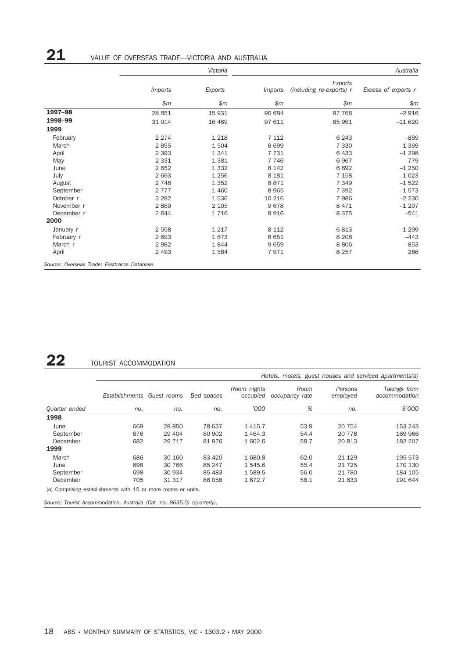# 21 VALUE OF OVERSEAS TRADE—VICTORIA AND AUSTRALIA

|                                              |                | Victoria |                |                                     |                     |  |  |  |
|----------------------------------------------|----------------|----------|----------------|-------------------------------------|---------------------|--|--|--|
|                                              | <i>Imports</i> | Exports  | <i>Imports</i> | Exports<br>(including re-exports) r | Excess of exports r |  |  |  |
|                                              | \$m\$          | \$m\$    | \$m\$          | \$m\$                               | \$m\$               |  |  |  |
| 1997-98                                      | 28 851         | 15 9 31  | 90 684         | 87 768                              | $-2916$             |  |  |  |
| 1998-99                                      | 31 0 14        | 16 489   | 97 611         | 85 991                              | $-11620$            |  |  |  |
| 1999                                         |                |          |                |                                     |                     |  |  |  |
| February                                     | 2 2 7 4        | 1 2 1 8  | 7 1 1 2        | 6 2 4 3                             | $-869$              |  |  |  |
| March                                        | 2855           | 1504     | 8699           | 7 3 3 0                             | $-1.369$            |  |  |  |
| April                                        | 2 3 9 3        | 1341     | 7731           | 6433                                | $-1298$             |  |  |  |
| May                                          | 2 3 3 1        | 1 3 8 1  | 7 7 4 6        | 6967                                | $-779$              |  |  |  |
| June                                         | 2652           | 1 3 3 2  | 8 1 4 2        | 6892                                | $-1250$             |  |  |  |
| July                                         | 2 6 6 3        | 1 2 5 6  | 8 1 8 1        | 7 1 5 8                             | $-1023$             |  |  |  |
| August                                       | 2 7 4 8        | 1 3 5 2  | 8871           | 7 3 4 9                             | $-1522$             |  |  |  |
| September                                    | 2 7 7 7        | 1 4 6 0  | 8965           | 7 3 9 2                             | $-1573$             |  |  |  |
| October r                                    | 3 2 8 2        | 1536     | 10 216         | 7986                                | $-2230$             |  |  |  |
| November r                                   | 2869           | 2 1 0 5  | 9678           | 8 4 7 1                             | $-1207$             |  |  |  |
| December r                                   | 2644           | 1716     | 8916           | 8375                                | $-541$              |  |  |  |
| 2000                                         |                |          |                |                                     |                     |  |  |  |
| January r                                    | 2 5 5 8        | 1 2 1 7  | 8 1 1 2        | 6813                                | $-1299$             |  |  |  |
| February r                                   | 2693           | 1673     | 8651           | 8 2 0 8                             | $-443$              |  |  |  |
| March r                                      | 2982           | 1844     | 9659           | 8806                                | $-853$              |  |  |  |
| April                                        | 2 4 9 3        | 1584     | 7971           | 8 2 5 7                             | 286                 |  |  |  |
| Source: Overseas Trade: Fasttraccs Database. |                |          |                |                                     |                     |  |  |  |

## 22 TOURIST ACCOMMODATION

|                                                               | Hotels, motels, guest houses and serviced apartments(a) |          |            |                         |                        |                     |                               |
|---------------------------------------------------------------|---------------------------------------------------------|----------|------------|-------------------------|------------------------|---------------------|-------------------------------|
|                                                               | Establishments Guest rooms                              |          | Bed spaces | Room nights<br>occupied | Room<br>occupancy rate | Persons<br>employed | Takings from<br>accommodation |
| Quarter ended                                                 | no.                                                     | no.      | no.        | '000                    | %                      | no.                 | \$7000                        |
| 1998                                                          |                                                         |          |            |                         |                        |                     |                               |
| June                                                          | 669                                                     | 28 850   | 78 637     | 1415.7                  | 53.9                   | 20 754              | 153 243                       |
| September                                                     | 676                                                     | 29 4 04  | 80 902     | 1464.3                  | 54.4                   | 20 7 7 6            | 169 966                       |
| December                                                      | 682                                                     | 29 7 1 7 | 81976      | 1 602.6                 | 58.7                   | 20 813              | 182 207                       |
| 1999                                                          |                                                         |          |            |                         |                        |                     |                               |
| March                                                         | 686                                                     | 30 160   | 83 4 20    | 1680.8                  | 62.0                   | 21 1 29             | 195 573                       |
| June                                                          | 698                                                     | 30 766   | 85 247     | 1545.6                  | 55.4                   | 21 7 25             | 170 130                       |
| September                                                     | 698                                                     | 30 934   | 85 4 83    | 1589.5                  | 56.0                   | 21 780              | 184 105                       |
| December                                                      | 705                                                     | 31 317   | 86 058     | 1672.7                  | 58.1                   | 21 633              | 191 644                       |
| (a) Comprising establishments with 15 or more rooms or units. |                                                         |          |            |                         |                        |                     |                               |

*Source: Tourist Accommodation, Australia (Cat. no. 8635.0) (quarterly).*